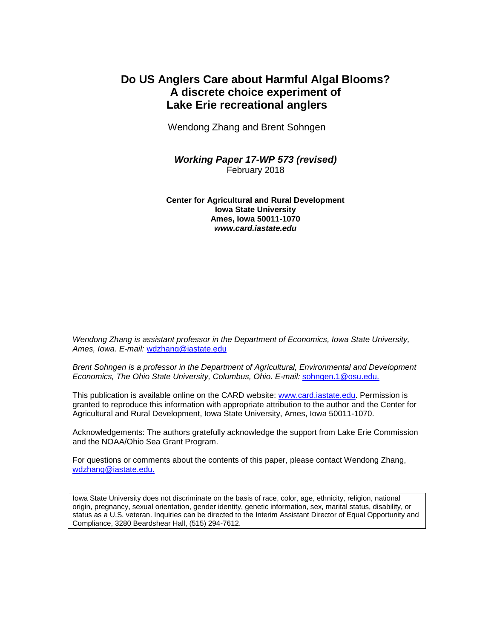## **Do US Anglers Care about Harmful Algal Blooms? A discrete choice experiment of Lake Erie recreational anglers**

Wendong Zhang and Brent Sohngen

*Working Paper 17-WP 573 (revised)* February 2018

**Center for Agricultural and Rural Development Iowa State University Ames, Iowa 50011-1070** *www.card.iastate.edu*

*Wendong Zhang is assistant professor in the Department of Economics, Iowa State University, Ames, Iowa. E-mail:* [wdzhang@iastate.edu](mailto:wdzhang@iastate.edu)

*Brent Sohngen is a professor in the Department of Agricultural, Environmental and Development Economics, The Ohio State University, Columbus, Ohio. E-mail:* [sohngen.1@osu.edu.](mailto:sohngen.1@osu.edu)

This publication is available online on the CARD website: [www.card.iastate.edu.](http://www.card.iastate.edu/) Permission is granted to reproduce this information with appropriate attribution to the author and the Center for Agricultural and Rural Development, Iowa State University, Ames, Iowa 50011-1070.

Acknowledgements: The authors gratefully acknowledge the support from Lake Erie Commission and the NOAA/Ohio Sea Grant Program.

For questions or comments about the contents of this paper, please contact Wendong Zhang, [wdzhang@iastate.edu.](mailto:wdzhang@iastate.edu)

Iowa State University does not discriminate on the basis of race, color, age, ethnicity, religion, national origin, pregnancy, sexual orientation, gender identity, genetic information, sex, marital status, disability, or status as a U.S. veteran. Inquiries can be directed to the Interim Assistant Director of Equal Opportunity and Compliance, 3280 Beardshear Hall, (515) 294-7612.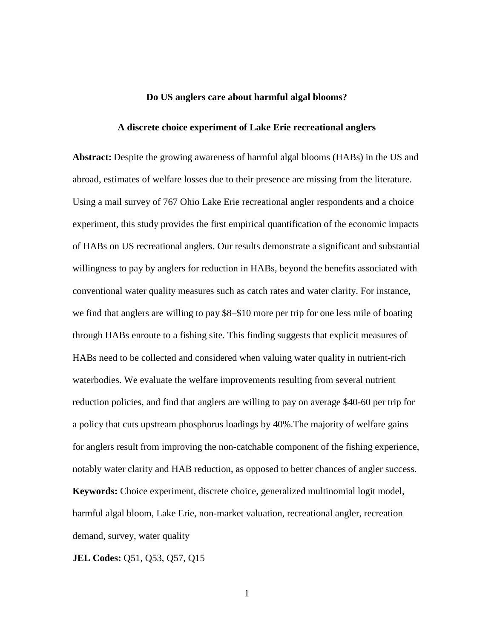### **Do US anglers care about harmful algal blooms?**

#### **A discrete choice experiment of Lake Erie recreational anglers**

**Abstract:** Despite the growing awareness of harmful algal blooms (HABs) in the US and abroad, estimates of welfare losses due to their presence are missing from the literature. Using a mail survey of 767 Ohio Lake Erie recreational angler respondents and a choice experiment, this study provides the first empirical quantification of the economic impacts of HABs on US recreational anglers. Our results demonstrate a significant and substantial willingness to pay by anglers for reduction in HABs, beyond the benefits associated with conventional water quality measures such as catch rates and water clarity. For instance, we find that anglers are willing to pay \$8–\$10 more per trip for one less mile of boating through HABs enroute to a fishing site. This finding suggests that explicit measures of HABs need to be collected and considered when valuing water quality in nutrient-rich waterbodies. We evaluate the welfare improvements resulting from several nutrient reduction policies, and find that anglers are willing to pay on average \$40-60 per trip for a policy that cuts upstream phosphorus loadings by 40%.The majority of welfare gains for anglers result from improving the non-catchable component of the fishing experience, notably water clarity and HAB reduction, as opposed to better chances of angler success. **Keywords:** Choice experiment, discrete choice, generalized multinomial logit model, harmful algal bloom, Lake Erie, non-market valuation, recreational angler, recreation demand, survey, water quality

**JEL Codes:** Q51, Q53, Q57, Q15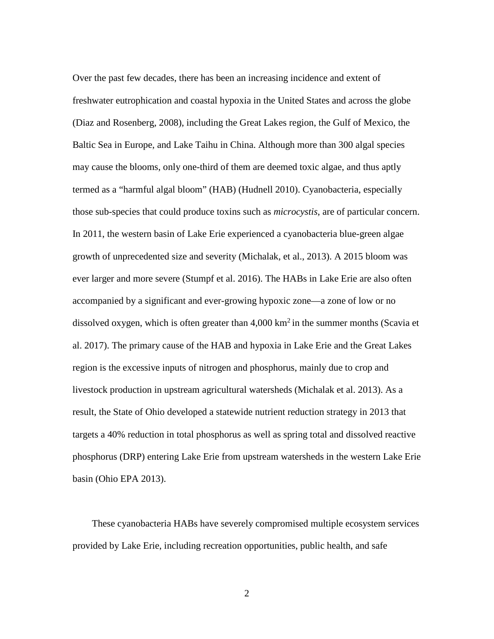<span id="page-2-3"></span><span id="page-2-2"></span><span id="page-2-1"></span><span id="page-2-0"></span>Over the past few decades, there has been an increasing incidence and extent of freshwater eutrophication and coastal hypoxia in the United States and across the globe (Diaz and Rosenberg, 2008), including the Great Lakes region, the Gulf of Mexico, the Baltic Sea in Europe, and Lake Taihu in China. Although more than 300 algal species may cause the blooms, only one-third of them are deemed toxic algae, and thus aptly termed as a "harmful algal bloom" (HAB) (Hudnell 2010). Cyanobacteria, especially those sub-species that could produce toxins such as *microcystis*, are of particular concern. In 2011, the western basin of Lake Erie experienced a cyanobacteria blue-green algae growth of unprecedented size and severity (Michalak, et al., 2013). A 2015 bloom was ever larger and more severe (Stumpf et al. 2016). The HABs in Lake Erie are also often accompanied by a significant and ever-growing hypoxic zone—a zone of low or no dissolved oxygen, which is often greater than  $4,000 \text{ km}^2$  in the summer months (Scavia et al. 2017). The primary cause of the HAB and hypoxia in Lake Erie and the Great Lakes region is the excessive inputs of nitrogen and phosphorus, mainly due to crop and livestock production in upstream agricultural watersheds (Michalak et al. 2013). As a result, the State of Ohio developed a statewide nutrient reduction strategy in 2013 that targets a 40% reduction in total phosphorus as well as spring total and dissolved reactive phosphorus (DRP) entering Lake Erie from upstream watersheds in the western Lake Erie basin (Ohio EPA 2013).

 These cyanobacteria HABs have severely compromised multiple ecosystem services provided by Lake Erie, including recreation opportunities, public health, and safe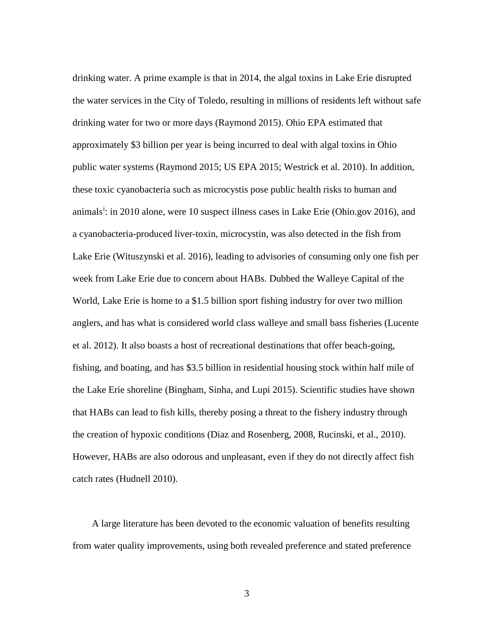<span id="page-3-0"></span>drinking water. A prime example is that in 2014, the algal toxins in Lake Erie disrupted the water services in the City of Toledo, resulting in millions of residents left without safe drinking water for two or more days (Raymond 2015). Ohio EPA estimated that approximately \$3 billion per year is being incurred to deal with algal toxins in Ohio public water systems (Raymond 2015; US EPA 2015; Westrick et al. 2010). In addition, these toxic cyanobacteria such as microcystis pose public health risks to human and an[i](#page-2-0)mals<sup>i</sup>: in 2010 alone, were 10 suspect illness cases in Lake Erie (Ohio.gov 2016), and a cyanobacteria-produced liver-toxin, microcystin, was also detected in the fish from Lake Erie (Wituszynski et al. 2016), leading to advisories of consuming only one fish per week from Lake Erie due to concern about HABs. Dubbed the Walleye Capital of the World, Lake Erie is home to a \$1.5 billion sport fishing industry for over two million anglers, and has what is considered world class walleye and small bass fisheries (Lucente et al. 2012). It also boasts a host of recreational destinations that offer beach-going, fishing, and boating, and has \$3.5 billion in residential housing stock within half mile of the Lake Erie shoreline (Bingham, Sinha, and Lupi 2015). Scientific studies have shown that HABs can lead to fish kills, thereby posing a threat to the fishery industry through the creation of hypoxic conditions (Diaz and Rosenberg, 2008, Rucinski, et al., 2010). However, HABs are also odorous and unpleasant, even if they do not directly affect fish catch rates (Hudnell 2010).

 A large literature has been devoted to the economic valuation of benefits resulting from water quality improvements, using both revealed preference and stated preference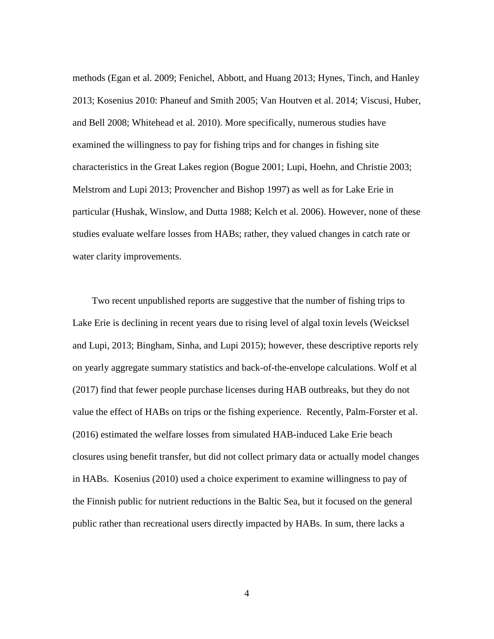methods (Egan et al. 2009; Fenichel, Abbott, and Huang 2013; Hynes, Tinch, and Hanley 2013; Kosenius 2010: Phaneuf and Smith 2005; Van Houtven et al. 2014; Viscusi, Huber, and Bell 2008; Whitehead et al. 2010). More specifically, numerous studies have examined the willingness to pay for fishing trips and for changes in fishing site characteristics in the Great Lakes region (Bogue 2001; Lupi, Hoehn, and Christie 2003; Melstrom and Lupi 2013; Provencher and Bishop 1997) as well as for Lake Erie in particular (Hushak, Winslow, and Dutta 1988; Kelch et al. 2006). However, none of these studies evaluate welfare losses from HABs; rather, they valued changes in catch rate or water clarity improvements.

<span id="page-4-3"></span><span id="page-4-2"></span><span id="page-4-1"></span><span id="page-4-0"></span> Two recent unpublished reports are suggestive that the number of fishing trips to Lake Erie is declining in recent years due to rising level of algal toxin levels (Weicksel and Lupi, 2013; Bingham, Sinha, and Lupi 2015); however, these descriptive reports rely on yearly aggregate summary statistics and back-of-the-envelope calculations. Wolf et al (2017) find that fewer people purchase licenses during HAB outbreaks, but they do not value the effect of HABs on trips or the fishing experience. Recently, Palm-Forster et al. (2016) estimated the welfare losses from simulated HAB-induced Lake Erie beach closures using benefit transfer, but did not collect primary data or actually model changes in HABs. Kosenius (2010) used a choice experiment to examine willingness to pay of the Finnish public for nutrient reductions in the Baltic Sea, but it focused on the general public rather than recreational users directly impacted by HABs. In sum, there lacks a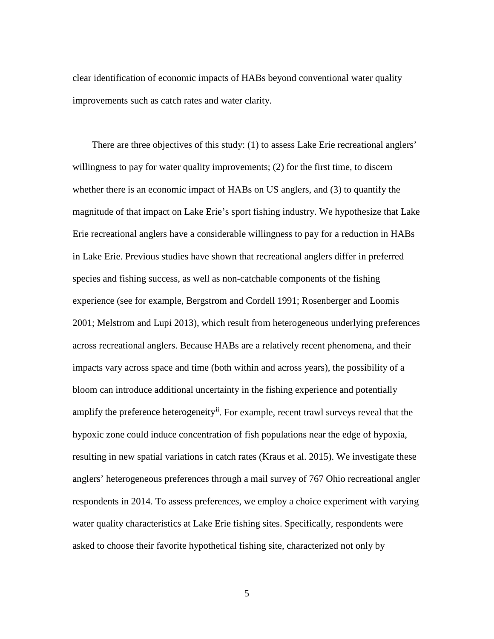clear identification of economic impacts of HABs beyond conventional water quality improvements such as catch rates and water clarity.

<span id="page-5-0"></span> There are three objectives of this study: (1) to assess Lake Erie recreational anglers' willingness to pay for water quality improvements; (2) for the first time, to discern whether there is an economic impact of HABs on US anglers, and (3) to quantify the magnitude of that impact on Lake Erie's sport fishing industry. We hypothesize that Lake Erie recreational anglers have a considerable willingness to pay for a reduction in HABs in Lake Erie. Previous studies have shown that recreational anglers differ in preferred species and fishing success, as well as non-catchable components of the fishing experience (see for example, Bergstrom and Cordell 1991; Rosenberger and Loomis 2001; Melstrom and Lupi 2013), which result from heterogeneous underlying preferences across recreational anglers. Because HABs are a relatively recent phenomena, and their impacts vary across space and time (both within and across years), the possibility of a bloom can introduce additional uncertainty in the fishing experience and potentially amplify the preference heterogeneity<sup>ii</sup>. For example, recent trawl surveys reveal that the hypoxic zone could induce concentration of fish populations near the edge of hypoxia, resulting in new spatial variations in catch rates (Kraus et al. 2015). We investigate these anglers' heterogeneous preferences through a mail survey of 767 Ohio recreational angler respondents in 2014. To assess preferences, we employ a choice experiment with varying water quality characteristics at Lake Erie fishing sites. Specifically, respondents were asked to choose their favorite hypothetical fishing site, characterized not only by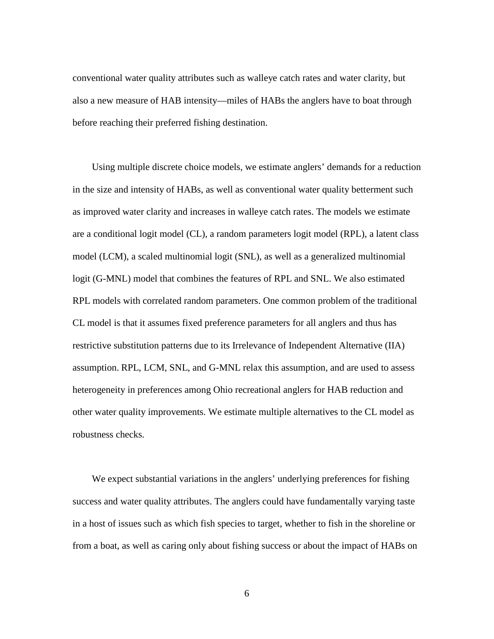conventional water quality attributes such as walleye catch rates and water clarity, but also a new measure of HAB intensity—miles of HABs the anglers have to boat through before reaching their preferred fishing destination.

 Using multiple discrete choice models, we estimate anglers' demands for a reduction in the size and intensity of HABs, as well as conventional water quality betterment such as improved water clarity and increases in walleye catch rates. The models we estimate are a conditional logit model (CL), a random parameters logit model (RPL), a latent class model (LCM), a scaled multinomial logit (SNL), as well as a generalized multinomial logit (G-MNL) model that combines the features of RPL and SNL. We also estimated RPL models with correlated random parameters. One common problem of the traditional CL model is that it assumes fixed preference parameters for all anglers and thus has restrictive substitution patterns due to its Irrelevance of Independent Alternative (IIA) assumption. RPL, LCM, SNL, and G-MNL relax this assumption, and are used to assess heterogeneity in preferences among Ohio recreational anglers for HAB reduction and other water quality improvements. We estimate multiple alternatives to the CL model as robustness checks.

 We expect substantial variations in the anglers' underlying preferences for fishing success and water quality attributes. The anglers could have fundamentally varying taste in a host of issues such as which fish species to target, whether to fish in the shoreline or from a boat, as well as caring only about fishing success or about the impact of HABs on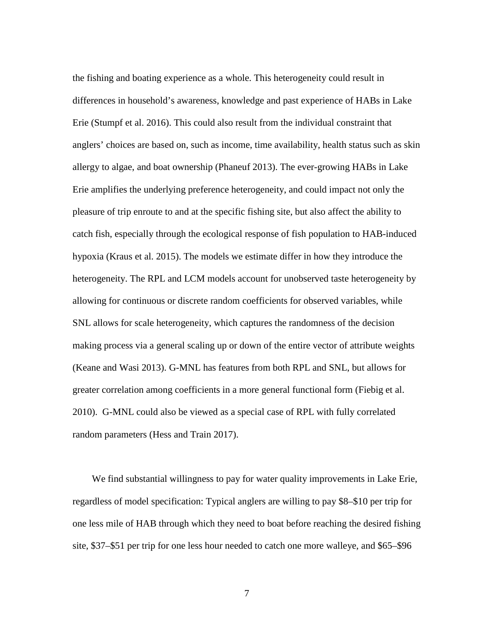the fishing and boating experience as a whole. This heterogeneity could result in differences in household's awareness, knowledge and past experience of HABs in Lake Erie (Stumpf et al. 2016). This could also result from the individual constraint that anglers' choices are based on, such as income, time availability, health status such as skin allergy to algae, and boat ownership (Phaneuf 2013). The ever-growing HABs in Lake Erie amplifies the underlying preference heterogeneity, and could impact not only the pleasure of trip enroute to and at the specific fishing site, but also affect the ability to catch fish, especially through the ecological response of fish population to HAB-induced hypoxia (Kraus et al. 2015). The models we estimate differ in how they introduce the heterogeneity. The RPL and LCM models account for unobserved taste heterogeneity by allowing for continuous or discrete random coefficients for observed variables, while SNL allows for scale heterogeneity, which captures the randomness of the decision making process via a general scaling up or down of the entire vector of attribute weights (Keane and Wasi 2013). G-MNL has features from both RPL and SNL, but allows for greater correlation among coefficients in a more general functional form (Fiebig et al. 2010). G-MNL could also be viewed as a special case of RPL with fully correlated random parameters (Hess and Train 2017).

 We find substantial willingness to pay for water quality improvements in Lake Erie, regardless of model specification: Typical anglers are willing to pay \$8–\$10 per trip for one less mile of HAB through which they need to boat before reaching the desired fishing site, \$37–\$51 per trip for one less hour needed to catch one more walleye, and \$65–\$96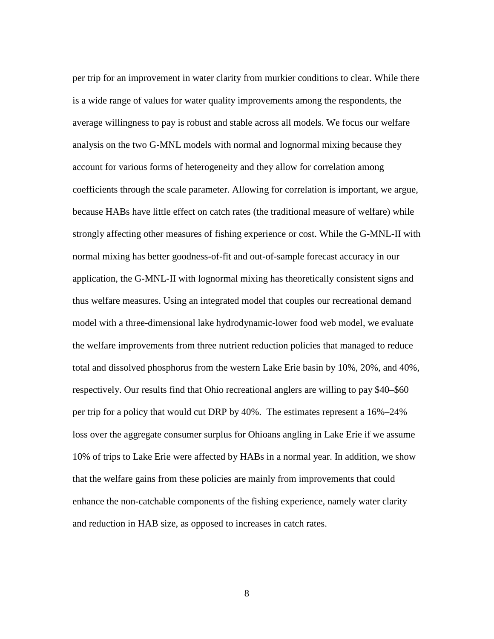per trip for an improvement in water clarity from murkier conditions to clear. While there is a wide range of values for water quality improvements among the respondents, the average willingness to pay is robust and stable across all models. We focus our welfare analysis on the two G-MNL models with normal and lognormal mixing because they account for various forms of heterogeneity and they allow for correlation among coefficients through the scale parameter. Allowing for correlation is important, we argue, because HABs have little effect on catch rates (the traditional measure of welfare) while strongly affecting other measures of fishing experience or cost. While the G-MNL-II with normal mixing has better goodness-of-fit and out-of-sample forecast accuracy in our application, the G-MNL-II with lognormal mixing has theoretically consistent signs and thus welfare measures. Using an integrated model that couples our recreational demand model with a three-dimensional lake hydrodynamic-lower food web model, we evaluate the welfare improvements from three nutrient reduction policies that managed to reduce total and dissolved phosphorus from the western Lake Erie basin by 10%, 20%, and 40%, respectively. Our results find that Ohio recreational anglers are willing to pay \$40–\$60 per trip for a policy that would cut DRP by 40%. The estimates represent a 16%–24% loss over the aggregate consumer surplus for Ohioans angling in Lake Erie if we assume 10% of trips to Lake Erie were affected by HABs in a normal year. In addition, we show that the welfare gains from these policies are mainly from improvements that could enhance the non-catchable components of the fishing experience, namely water clarity and reduction in HAB size, as opposed to increases in catch rates.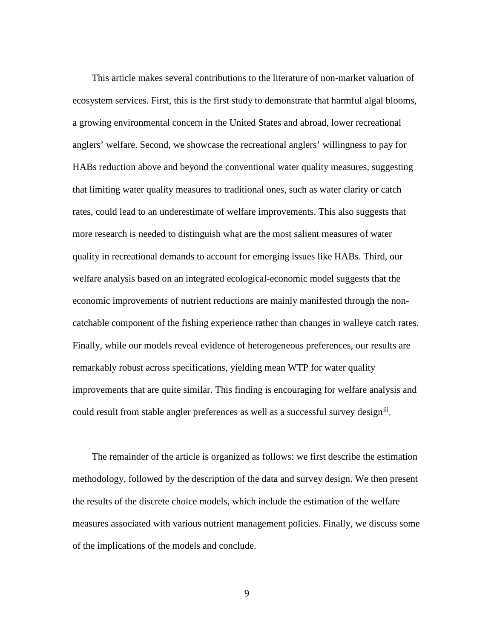This article makes several contributions to the literature of non-market valuation of ecosystem services. First, this is the first study to demonstrate that harmful algal blooms, a growing environmental concern in the United States and abroad, lower recreational anglers' welfare. Second, we showcase the recreational anglers' willingness to pay for HABs reduction above and beyond the conventional water quality measures, suggesting that limiting water quality measures to traditional ones, such as water clarity or catch rates, could lead to an underestimate of welfare improvements. This also suggests that more research is needed to distinguish what are the most salient measures of water quality in recreational demands to account for emerging issues like HABs. Third, our welfare analysis based on an integrated ecological-economic model suggests that the economic improvements of nutrient reductions are mainly manifested through the noncatchable component of the fishing experience rather than changes in walleye catch rates. Finally, while our models reveal evidence of heterogeneous preferences, our results are remarkably robust across specifications, yielding mean WTP for water quality improvements that are quite similar. This finding is encouraging for welfare analysis and could result from stable angler preferences as well as a successful survey design<sup>iii</sup>.

 The remainder of the article is organized as follows: we first describe the estimation methodology, followed by the description of the data and survey design. We then present the results of the discrete choice models, which include the estimation of the welfare measures associated with various nutrient management policies. Finally, we discuss some of the implications of the models and conclude.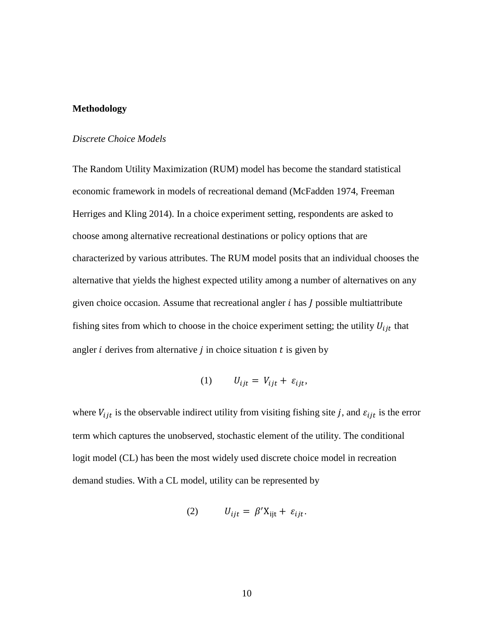### **Methodology**

### *Discrete Choice Models*

The Random Utility Maximization (RUM) model has become the standard statistical economic framework in models of recreational demand (McFadden 1974, Freeman Herriges and Kling 2014). In a choice experiment setting, respondents are asked to choose among alternative recreational destinations or policy options that are characterized by various attributes. The RUM model posits that an individual chooses the alternative that yields the highest expected utility among a number of alternatives on any given choice occasion. Assume that recreational angler  $i$  has  $J$  possible multiattribute fishing sites from which to choose in the choice experiment setting; the utility  $U_{ijt}$  that angler  $i$  derives from alternative  $j$  in choice situation  $t$  is given by

$$
(1) \t U_{ijt} = V_{ijt} + \varepsilon_{ijt},
$$

where  $V_{ijt}$  is the observable indirect utility from visiting fishing site j, and  $\varepsilon_{ijt}$  is the error term which captures the unobserved, stochastic element of the utility. The conditional logit model (CL) has been the most widely used discrete choice model in recreation demand studies. With a CL model, utility can be represented by

$$
(2) \tU_{ijt} = \beta' X_{ijt} + \varepsilon_{ijt}.
$$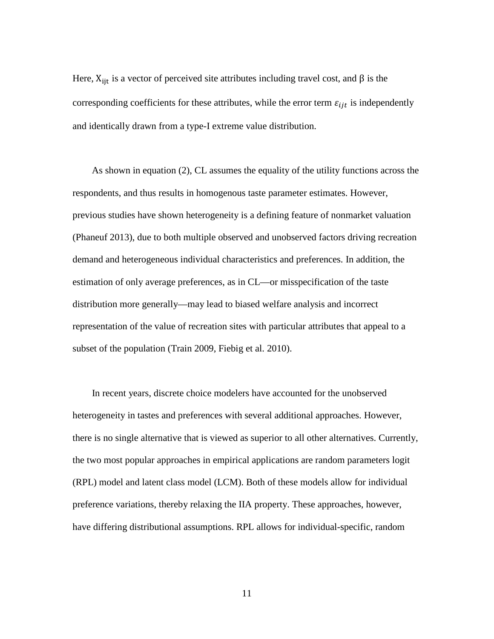Here,  $X_{ijt}$  is a vector of perceived site attributes including travel cost, and  $\beta$  is the corresponding coefficients for these attributes, while the error term  $\varepsilon_{ijt}$  is independently and identically drawn from a type-I extreme value distribution.

 As shown in equation (2), CL assumes the equality of the utility functions across the respondents, and thus results in homogenous taste parameter estimates. However, previous studies have shown heterogeneity is a defining feature of nonmarket valuation (Phaneuf 2013), due to both multiple observed and unobserved factors driving recreation demand and heterogeneous individual characteristics and preferences. In addition, the estimation of only average preferences, as in CL—or misspecification of the taste distribution more generally—may lead to biased welfare analysis and incorrect representation of the value of recreation sites with particular attributes that appeal to a subset of the population (Train 2009, Fiebig et al. 2010).

 In recent years, discrete choice modelers have accounted for the unobserved heterogeneity in tastes and preferences with several additional approaches. However, there is no single alternative that is viewed as superior to all other alternatives. Currently, the two most popular approaches in empirical applications are random parameters logit (RPL) model and latent class model (LCM). Both of these models allow for individual preference variations, thereby relaxing the IIA property. These approaches, however, have differing distributional assumptions. RPL allows for individual-specific, random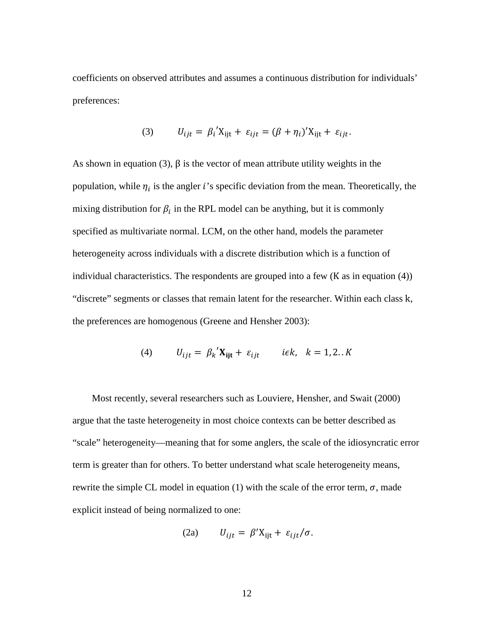coefficients on observed attributes and assumes a continuous distribution for individuals' preferences:

(3) 
$$
U_{ijt} = \beta_i' X_{ijt} + \varepsilon_{ijt} = (\beta + \eta_i)' X_{ijt} + \varepsilon_{ijt}.
$$

As shown in equation (3),  $\beta$  is the vector of mean attribute utility weights in the population, while  $\eta_i$  is the angler i's specific deviation from the mean. Theoretically, the mixing distribution for  $\beta_i$  in the RPL model can be anything, but it is commonly specified as multivariate normal. LCM, on the other hand, models the parameter heterogeneity across individuals with a discrete distribution which is a function of individual characteristics. The respondents are grouped into a few (K as in equation (4)) "discrete" segments or classes that remain latent for the researcher. Within each class k, the preferences are homogenous (Greene and Hensher 2003):

$$
(4) \tU_{ijt} = \beta_k' \mathbf{X_{ijt}} + \varepsilon_{ijt} \t\t i \in k, \quad k = 1, 2..K
$$

 Most recently, several researchers such as Louviere, Hensher, and Swait (2000) argue that the taste heterogeneity in most choice contexts can be better described as "scale" heterogeneity—meaning that for some anglers, the scale of the idiosyncratic error term is greater than for others. To better understand what scale heterogeneity means, rewrite the simple CL model in equation (1) with the scale of the error term,  $\sigma$ , made explicit instead of being normalized to one:

(2a) 
$$
U_{ijt} = \beta' X_{ijt} + \varepsilon_{ijt}/\sigma.
$$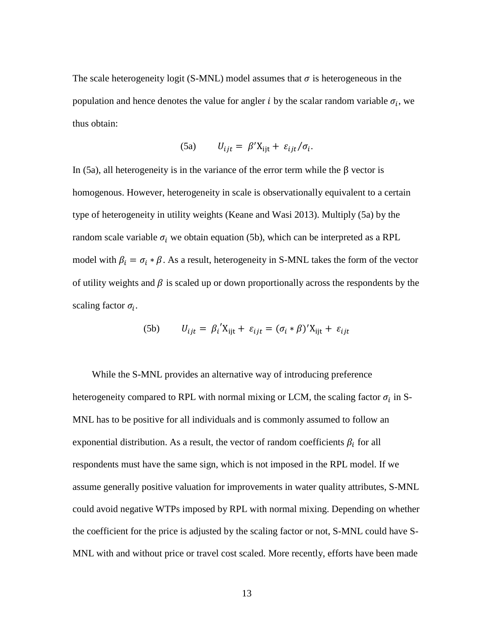The scale heterogeneity logit (S-MNL) model assumes that  $\sigma$  is heterogeneous in the population and hence denotes the value for angler *i* by the scalar random variable  $\sigma_i$ , we thus obtain:

(5a) 
$$
U_{ijt} = \beta' X_{ijt} + \varepsilon_{ijt}/\sigma_i.
$$

In (5a), all heterogeneity is in the variance of the error term while the β vector is homogenous. However, heterogeneity in scale is observationally equivalent to a certain type of heterogeneity in utility weights (Keane and Wasi 2013). Multiply (5a) by the random scale variable  $\sigma_i$  we obtain equation (5b), which can be interpreted as a RPL model with  $\beta_i = \sigma_i * \beta$ . As a result, heterogeneity in S-MNL takes the form of the vector of utility weights and  $\beta$  is scaled up or down proportionally across the respondents by the scaling factor  $\sigma_i$ .

(5b) 
$$
U_{ijt} = \beta_i' X_{ijt} + \varepsilon_{ijt} = (\sigma_i * \beta)' X_{ijt} + \varepsilon_{ijt}
$$

 While the S-MNL provides an alternative way of introducing preference heterogeneity compared to RPL with normal mixing or LCM, the scaling factor  $\sigma_i$  in S-MNL has to be positive for all individuals and is commonly assumed to follow an exponential distribution. As a result, the vector of random coefficients  $\beta_i$  for all respondents must have the same sign, which is not imposed in the RPL model. If we assume generally positive valuation for improvements in water quality attributes, S-MNL could avoid negative WTPs imposed by RPL with normal mixing. Depending on whether the coefficient for the price is adjusted by the scaling factor or not, S-MNL could have S-MNL with and without price or travel cost scaled. More recently, efforts have been made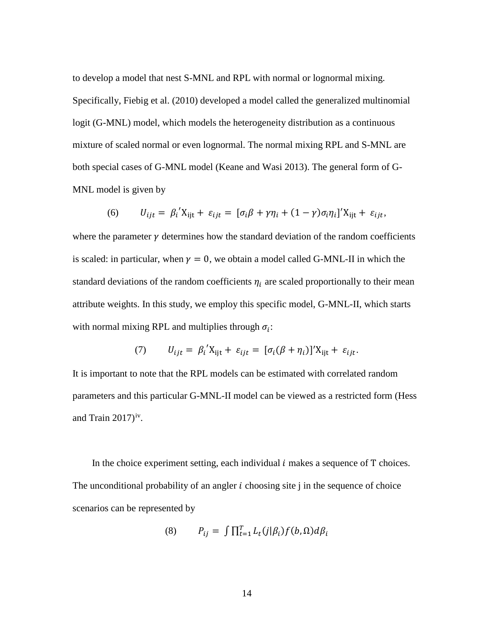to develop a model that nest S-MNL and RPL with normal or lognormal mixing. Specifically, Fiebig et al. (2010) developed a model called the generalized multinomial logit (G-MNL) model, which models the heterogeneity distribution as a continuous mixture of scaled normal or even lognormal. The normal mixing RPL and S-MNL are both special cases of G-MNL model (Keane and Wasi 2013). The general form of G-MNL model is given by

(6) 
$$
U_{ijt} = \beta_i' X_{ijt} + \varepsilon_{ijt} = [\sigma_i \beta + \gamma \eta_i + (1 - \gamma) \sigma_i \eta_i]' X_{ijt} + \varepsilon_{ijt},
$$

where the parameter  $\gamma$  determines how the standard deviation of the random coefficients is scaled: in particular, when  $\gamma = 0$ , we obtain a model called G-MNL-II in which the standard deviations of the random coefficients  $\eta_i$  are scaled proportionally to their mean attribute weights. In this study, we employ this specific model, G-MNL-II, which starts with normal mixing RPL and multiplies through  $\sigma_i$ :

(7) 
$$
U_{ijt} = \beta_i' X_{ijt} + \varepsilon_{ijt} = [\sigma_i(\beta + \eta_i)]' X_{ijt} + \varepsilon_{ijt}.
$$

It is important to note that the RPL models can be estimated with correlated random parameters and this particular G-MNL-II model can be viewed as a restricted form (Hess and Train  $2017$ <sup>[iv](#page-2-3)</sup>.

In the choice experiment setting, each individual  $i$  makes a sequence of  $T$  choices. The unconditional probability of an angler  $i$  choosing site  $j$  in the sequence of choice scenarios can be represented by

$$
(8) \qquad P_{ij} = \int \prod_{t=1}^{T} L_t(j|\beta_i) f(b,\Omega) d\beta_i
$$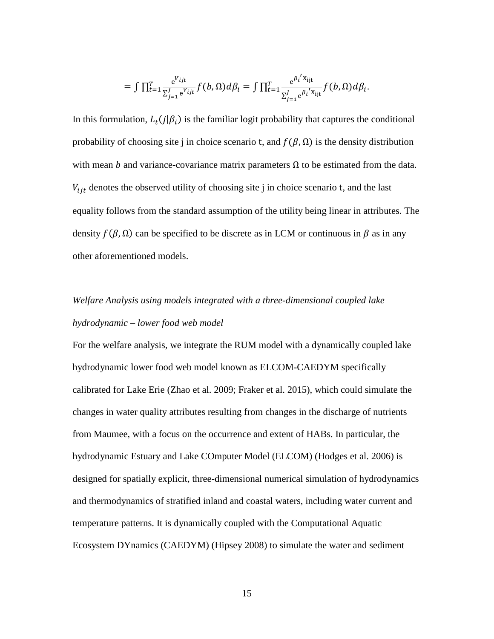$$
= \int \prod_{t=1}^T \frac{e^{V_{ijt}}}{\sum_{j=1}^J e^{V_{ijt}}} f(b, \Omega) d\beta_i = \int \prod_{t=1}^T \frac{e^{\beta_i^{\prime} X_{ijt}}}{\sum_{j=1}^J e^{\beta_i^{\prime} X_{ijt}}} f(b, \Omega) d\beta_i.
$$

In this formulation,  $L_t(j|\beta_i)$  is the familiar logit probability that captures the conditional probability of choosing site j in choice scenario t, and  $f(\beta,\Omega)$  is the density distribution with mean *b* and variance-covariance matrix parameters  $\Omega$  to be estimated from the data.  $V_{ijt}$  denotes the observed utility of choosing site j in choice scenario t, and the last equality follows from the standard assumption of the utility being linear in attributes. The density  $f(\beta, \Omega)$  can be specified to be discrete as in LCM or continuous in  $\beta$  as in any other aforementioned models.

# *Welfare Analysis using models integrated with a three-dimensional coupled lake hydrodynamic – lower food web model*

For the welfare analysis, we integrate the RUM model with a dynamically coupled lake hydrodynamic lower food web model known as ELCOM-CAEDYM specifically calibrated for Lake Erie (Zhao et al. 2009; Fraker et al. 2015), which could simulate the changes in water quality attributes resulting from changes in the discharge of nutrients from Maumee, with a focus on the occurrence and extent of HABs. In particular, the hydrodynamic Estuary and Lake COmputer Model (ELCOM) (Hodges et al. 2006) is designed for spatially explicit, three-dimensional numerical simulation of hydrodynamics and thermodynamics of stratified inland and coastal waters, including water current and temperature patterns. It is dynamically coupled with the Computational Aquatic Ecosystem DYnamics (CAEDYM) (Hipsey 2008) to simulate the water and sediment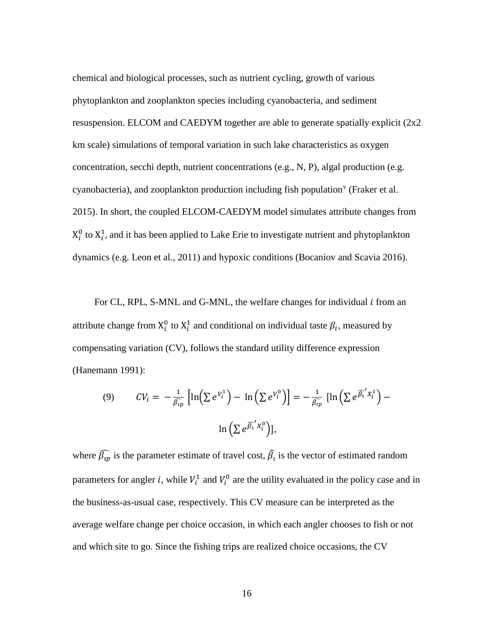chemical and biological processes, such as nutrient cycling, growth of various phytoplankton and zooplankton species including cyanobacteria, and sediment resuspension. ELCOM and CAEDYM together are able to generate spatially explicit (2x2 km scale) simulations of temporal variation in such lake characteristics as oxygen concentration, secchi depth, nutrient concentrations (e.g., N, P), algal production (e.g. cyanobacteria), and zooplankton production including fish population<sup> $\theta$ </sup> (Fraker et al. 2015). In short, the coupled ELCOM-CAEDYM model simulates attribute changes from  $X_i^0$  to  $X_i^1$ , and it has been applied to Lake Erie to investigate nutrient and phytoplankton dynamics (e.g. Leon et al., 2011) and hypoxic conditions (Bocaniov and Scavia 2016).

For CL, RPL, S-MNL and G-MNL, the welfare changes for individual *i* from an attribute change from  $X_i^0$  to  $X_i^1$  and conditional on individual taste  $\beta_i$ , measured by compensating variation (CV), follows the standard utility difference expression (Hanemann 1991):

(9) 
$$
CV_i = -\frac{1}{\beta_{ip}} \left[ \ln \left( \sum e^{V_i^1} \right) - \ln \left( \sum e^{V_i^0} \right) \right] = -\frac{1}{\beta_{ip}} \left[ \ln \left( \sum e^{\beta_i^T X_i^1} \right) - \ln \left( \sum e^{\beta_i^T X_i^0} \right) \right],
$$

where  $\bar{\beta}_{ip}$  is the parameter estimate of travel cost,  $\hat{\beta}_i$  is the vector of estimated random parameters for angler *i*, while  $V_i^1$  and  $V_i^0$  are the utility evaluated in the policy case and in the business-as-usual case, respectively. This CV measure can be interpreted as the average welfare change per choice occasion, in which each angler chooses to fish or not and which site to go. Since the fishing trips are realized choice occasions, the CV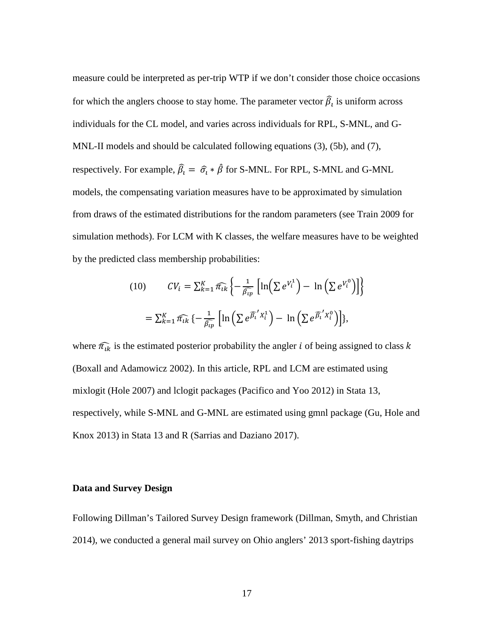measure could be interpreted as per-trip WTP if we don't consider those choice occasions for which the anglers choose to stay home. The parameter vector  $\hat{\beta}_i$  is uniform across individuals for the CL model, and varies across individuals for RPL, S-MNL, and G-MNL-II models and should be calculated following equations (3), (5b), and (7), respectively. For example,  $\hat{\beta}_t = \hat{\sigma}_t * \hat{\beta}$  for S-MNL. For RPL, S-MNL and G-MNL models, the compensating variation measures have to be approximated by simulation from draws of the estimated distributions for the random parameters (see Train 2009 for simulation methods). For LCM with K classes, the welfare measures have to be weighted by the predicted class membership probabilities:

(10) 
$$
CV_i = \sum_{k=1}^{K} \widehat{\pi_{ik}} \left\{ -\frac{1}{\widehat{\beta_{ip}}} \left[ \ln \left( \sum e^{V_i^1} \right) - \ln \left( \sum e^{V_i^0} \right) \right] \right\}
$$

$$
= \sum_{k=1}^{K} \widehat{\pi_{ik}} \left\{ -\frac{1}{\widehat{\beta_{ip}}} \left[ \ln \left( \sum e^{\widehat{\beta_i}^T X_i^1} \right) - \ln \left( \sum e^{\widehat{\beta_i}^T X_i^0} \right) \right] \right\},
$$

where  $\widehat{\pi_{ik}}$  is the estimated posterior probability the angler *i* of being assigned to class *k* (Boxall and Adamowicz 2002). In this article, RPL and LCM are estimated using mixlogit (Hole 2007) and lclogit packages (Pacifico and Yoo 2012) in Stata 13, respectively, while S-MNL and G-MNL are estimated using gmnl package (Gu, Hole and Knox 2013) in Stata 13 and R (Sarrias and Daziano 2017).

### **Data and Survey Design**

Following Dillman's Tailored Survey Design framework (Dillman, Smyth, and Christian 2014), we conducted a general mail survey on Ohio anglers' 2013 sport-fishing daytrips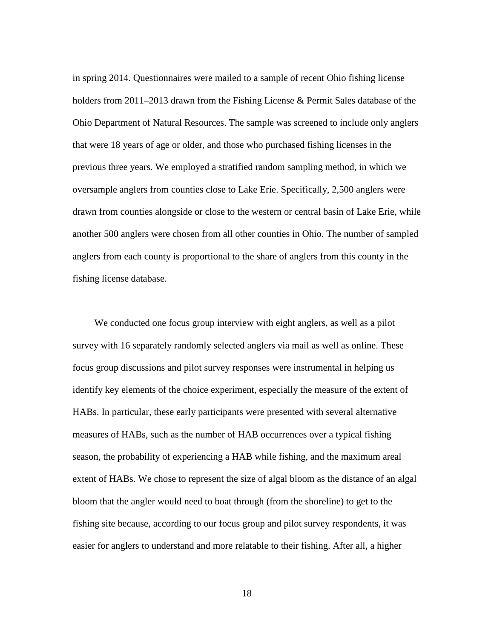in spring 2014. Questionnaires were mailed to a sample of recent Ohio fishing license holders from 2011–2013 drawn from the Fishing License & Permit Sales database of the Ohio Department of Natural Resources. The sample was screened to include only anglers that were 18 years of age or older, and those who purchased fishing licenses in the previous three years. We employed a stratified random sampling method, in which we oversample anglers from counties close to Lake Erie. Specifically, 2,500 anglers were drawn from counties alongside or close to the western or central basin of Lake Erie, while another 500 anglers were chosen from all other counties in Ohio. The number of sampled anglers from each county is proportional to the share of anglers from this county in the fishing license database.

 We conducted one focus group interview with eight anglers, as well as a pilot survey with 16 separately randomly selected anglers via mail as well as online. These focus group discussions and pilot survey responses were instrumental in helping us identify key elements of the choice experiment, especially the measure of the extent of HABs. In particular, these early participants were presented with several alternative measures of HABs, such as the number of HAB occurrences over a typical fishing season, the probability of experiencing a HAB while fishing, and the maximum areal extent of HABs. We chose to represent the size of algal bloom as the distance of an algal bloom that the angler would need to boat through (from the shoreline) to get to the fishing site because, according to our focus group and pilot survey respondents, it was easier for anglers to understand and more relatable to their fishing. After all, a higher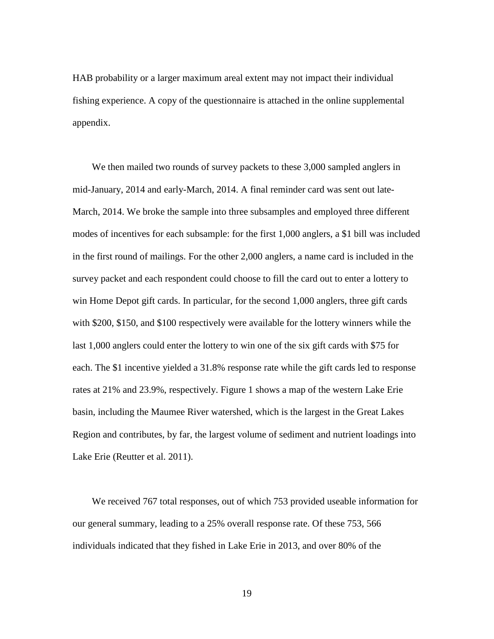HAB probability or a larger maximum areal extent may not impact their individual fishing experience. A copy of the questionnaire is attached in the online supplemental appendix.

We then mailed two rounds of survey packets to these 3,000 sampled anglers in mid-January, 2014 and early-March, 2014. A final reminder card was sent out late-March, 2014. We broke the sample into three subsamples and employed three different modes of incentives for each subsample: for the first 1,000 anglers, a \$1 bill was included in the first round of mailings. For the other 2,000 anglers, a name card is included in the survey packet and each respondent could choose to fill the card out to enter a lottery to win Home Depot gift cards. In particular, for the second 1,000 anglers, three gift cards with \$200, \$150, and \$100 respectively were available for the lottery winners while the last 1,000 anglers could enter the lottery to win one of the six gift cards with \$75 for each. The \$1 incentive yielded a 31.8% response rate while the gift cards led to response rates at 21% and 23.9%, respectively. Figure 1 shows a map of the western Lake Erie basin, including the Maumee River watershed, which is the largest in the Great Lakes Region and contributes, by far, the largest volume of sediment and nutrient loadings into Lake Erie (Reutter et al. 2011).

 We received 767 total responses, out of which 753 provided useable information for our general summary, leading to a 25% overall response rate. Of these 753, 566 individuals indicated that they fished in Lake Erie in 2013, and over 80% of the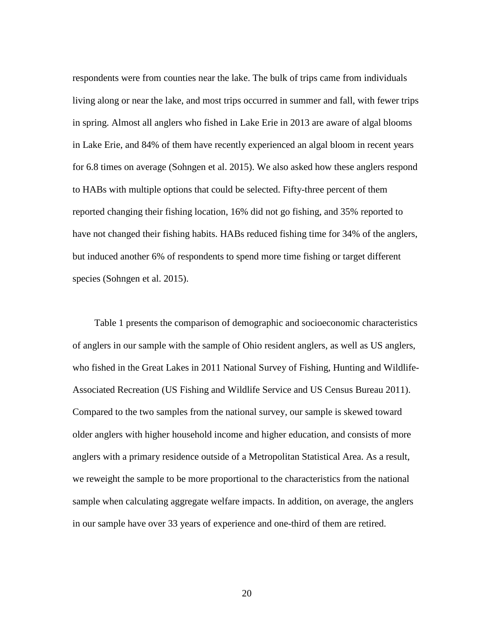respondents were from counties near the lake. The bulk of trips came from individuals living along or near the lake, and most trips occurred in summer and fall, with fewer trips in spring. Almost all anglers who fished in Lake Erie in 2013 are aware of algal blooms in Lake Erie, and 84% of them have recently experienced an algal bloom in recent years for 6.8 times on average (Sohngen et al. 2015). We also asked how these anglers respond to HABs with multiple options that could be selected. Fifty-three percent of them reported changing their fishing location, 16% did not go fishing, and 35% reported to have not changed their fishing habits. HABs reduced fishing time for 34% of the anglers, but induced another 6% of respondents to spend more time fishing or target different species (Sohngen et al. 2015).

 Table 1 presents the comparison of demographic and socioeconomic characteristics of anglers in our sample with the sample of Ohio resident anglers, as well as US anglers, who fished in the Great Lakes in 2011 National Survey of Fishing, Hunting and Wildlife-Associated Recreation (US Fishing and Wildlife Service and US Census Bureau 2011). Compared to the two samples from the national survey, our sample is skewed toward older anglers with higher household income and higher education, and consists of more anglers with a primary residence outside of a Metropolitan Statistical Area. As a result, we reweight the sample to be more proportional to the characteristics from the national sample when calculating aggregate welfare impacts. In addition, on average, the anglers in our sample have over 33 years of experience and one-third of them are retired.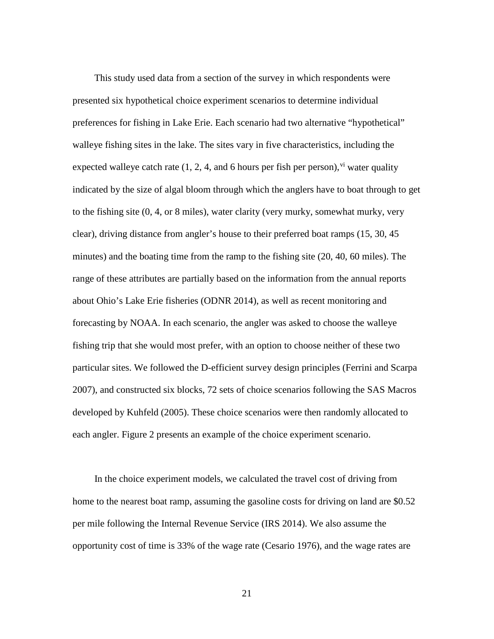This study used data from a section of the survey in which respondents were presented six hypothetical choice experiment scenarios to determine individual preferences for fishing in Lake Erie. Each scenario had two alternative "hypothetical" walleye fishing sites in the lake. The sites vary in five characteristics, including the expected walleye catch rate  $(1, 2, 4, \text{ and } 6 \text{ hours per fish per person})$ , v<sup>i</sup> water quality indicated by the size of algal bloom through which the anglers have to boat through to get to the fishing site (0, 4, or 8 miles), water clarity (very murky, somewhat murky, very clear), driving distance from angler's house to their preferred boat ramps (15, 30, 45 minutes) and the boating time from the ramp to the fishing site (20, 40, 60 miles). The range of these attributes are partially based on the information from the annual reports about Ohio's Lake Erie fisheries (ODNR 2014), as well as recent monitoring and forecasting by NOAA. In each scenario, the angler was asked to choose the walleye fishing trip that she would most prefer, with an option to choose neither of these two particular sites. We followed the D-efficient survey design principles (Ferrini and Scarpa 2007), and constructed six blocks, 72 sets of choice scenarios following the SAS Macros developed by Kuhfeld (2005). These choice scenarios were then randomly allocated to each angler. Figure 2 presents an example of the choice experiment scenario.

 In the choice experiment models, we calculated the travel cost of driving from home to the nearest boat ramp, assuming the gasoline costs for driving on land are \$0.52 per mile following the Internal Revenue Service (IRS 2014). We also assume the opportunity cost of time is 33% of the wage rate (Cesario 1976), and the wage rates are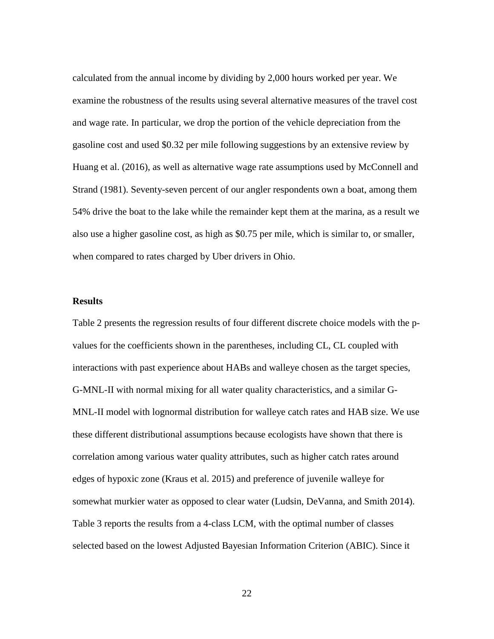calculated from the annual income by dividing by 2,000 hours worked per year. We examine the robustness of the results using several alternative measures of the travel cost and wage rate. In particular, we drop the portion of the vehicle depreciation from the gasoline cost and used \$0.32 per mile following suggestions by an extensive review by Huang et al. (2016), as well as alternative wage rate assumptions used by McConnell and Strand (1981). Seventy-seven percent of our angler respondents own a boat, among them 54% drive the boat to the lake while the remainder kept them at the marina, as a result we also use a higher gasoline cost, as high as \$0.75 per mile, which is similar to, or smaller, when compared to rates charged by Uber drivers in Ohio.

### **Results**

Table 2 presents the regression results of four different discrete choice models with the pvalues for the coefficients shown in the parentheses, including CL, CL coupled with interactions with past experience about HABs and walleye chosen as the target species, G-MNL-II with normal mixing for all water quality characteristics, and a similar G-MNL-II model with lognormal distribution for walleye catch rates and HAB size. We use these different distributional assumptions because ecologists have shown that there is correlation among various water quality attributes, such as higher catch rates around edges of hypoxic zone (Kraus et al. 2015) and preference of juvenile walleye for somewhat murkier water as opposed to clear water (Ludsin, DeVanna, and Smith 2014). Table 3 reports the results from a 4-class LCM, with the optimal number of classes selected based on the lowest Adjusted Bayesian Information Criterion (ABIC). Since it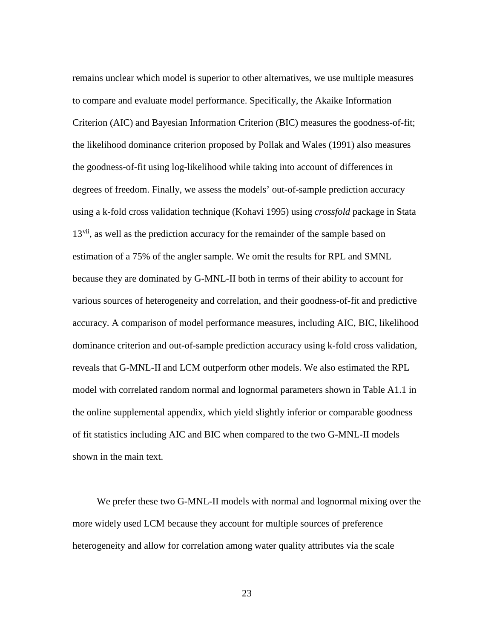remains unclear which model is superior to other alternatives, we use multiple measures to compare and evaluate model performance. Specifically, the Akaike Information Criterion (AIC) and Bayesian Information Criterion (BIC) measures the goodness-of-fit; the likelihood dominance criterion proposed by Pollak and Wales (1991) also measures the goodness-of-fit using log-likelihood while taking into account of differences in degrees of freedom. Finally, we assess the models' out-of-sample prediction accuracy using a k-fold cross validation technique (Kohavi 1995) using *crossfold* package in Stata 13<sup>[vii](#page-4-1)</sup>, as well as the prediction accuracy for the remainder of the sample based on estimation of a 75% of the angler sample. We omit the results for RPL and SMNL because they are dominated by G-MNL-II both in terms of their ability to account for various sources of heterogeneity and correlation, and their goodness-of-fit and predictive accuracy. A comparison of model performance measures, including AIC, BIC, likelihood dominance criterion and out-of-sample prediction accuracy using k-fold cross validation, reveals that G-MNL-II and LCM outperform other models. We also estimated the RPL model with correlated random normal and lognormal parameters shown in Table A1.1 in the online supplemental appendix, which yield slightly inferior or comparable goodness of fit statistics including AIC and BIC when compared to the two G-MNL-II models shown in the main text.

 We prefer these two G-MNL-II models with normal and lognormal mixing over the more widely used LCM because they account for multiple sources of preference heterogeneity and allow for correlation among water quality attributes via the scale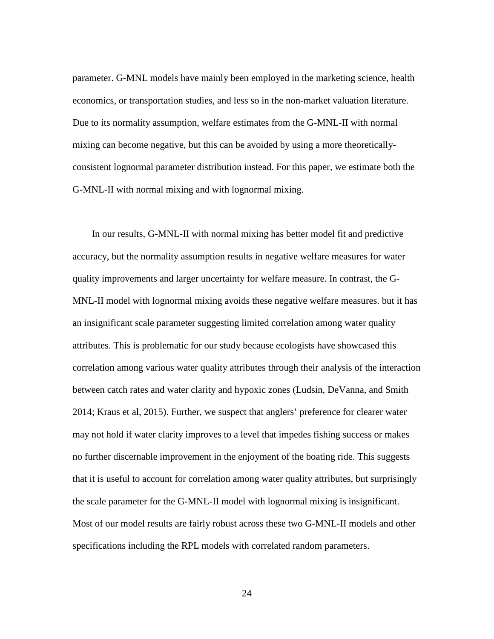parameter. G-MNL models have mainly been employed in the marketing science, health economics, or transportation studies, and less so in the non-market valuation literature. Due to its normality assumption, welfare estimates from the G-MNL-II with normal mixing can become negative, but this can be avoided by using a more theoreticallyconsistent lognormal parameter distribution instead. For this paper, we estimate both the G-MNL-II with normal mixing and with lognormal mixing.

 In our results, G-MNL-II with normal mixing has better model fit and predictive accuracy, but the normality assumption results in negative welfare measures for water quality improvements and larger uncertainty for welfare measure. In contrast, the G-MNL-II model with lognormal mixing avoids these negative welfare measures. but it has an insignificant scale parameter suggesting limited correlation among water quality attributes. This is problematic for our study because ecologists have showcased this correlation among various water quality attributes through their analysis of the interaction between catch rates and water clarity and hypoxic zones (Ludsin, DeVanna, and Smith 2014; Kraus et al, 2015). Further, we suspect that anglers' preference for clearer water may not hold if water clarity improves to a level that impedes fishing success or makes no further discernable improvement in the enjoyment of the boating ride. This suggests that it is useful to account for correlation among water quality attributes, but surprisingly the scale parameter for the G-MNL-II model with lognormal mixing is insignificant. Most of our model results are fairly robust across these two G-MNL-II models and other specifications including the RPL models with correlated random parameters.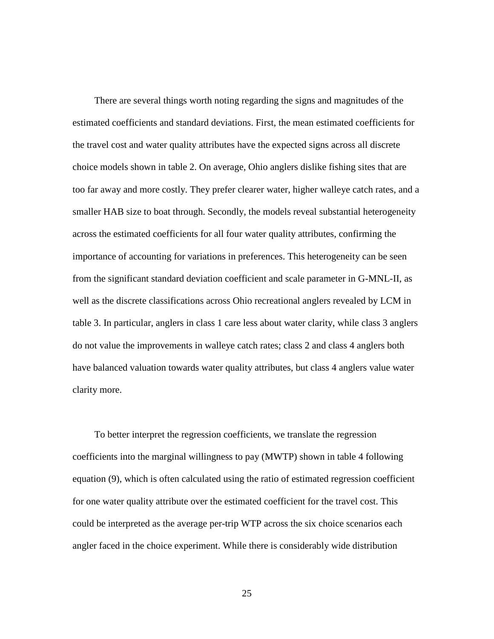There are several things worth noting regarding the signs and magnitudes of the estimated coefficients and standard deviations. First, the mean estimated coefficients for the travel cost and water quality attributes have the expected signs across all discrete choice models shown in table 2. On average, Ohio anglers dislike fishing sites that are too far away and more costly. They prefer clearer water, higher walleye catch rates, and a smaller HAB size to boat through. Secondly, the models reveal substantial heterogeneity across the estimated coefficients for all four water quality attributes, confirming the importance of accounting for variations in preferences. This heterogeneity can be seen from the significant standard deviation coefficient and scale parameter in G-MNL-II, as well as the discrete classifications across Ohio recreational anglers revealed by LCM in table 3. In particular, anglers in class 1 care less about water clarity, while class 3 anglers do not value the improvements in walleye catch rates; class 2 and class 4 anglers both have balanced valuation towards water quality attributes, but class 4 anglers value water clarity more.

 To better interpret the regression coefficients, we translate the regression coefficients into the marginal willingness to pay (MWTP) shown in table 4 following equation (9), which is often calculated using the ratio of estimated regression coefficient for one water quality attribute over the estimated coefficient for the travel cost. This could be interpreted as the average per-trip WTP across the six choice scenarios each angler faced in the choice experiment. While there is considerably wide distribution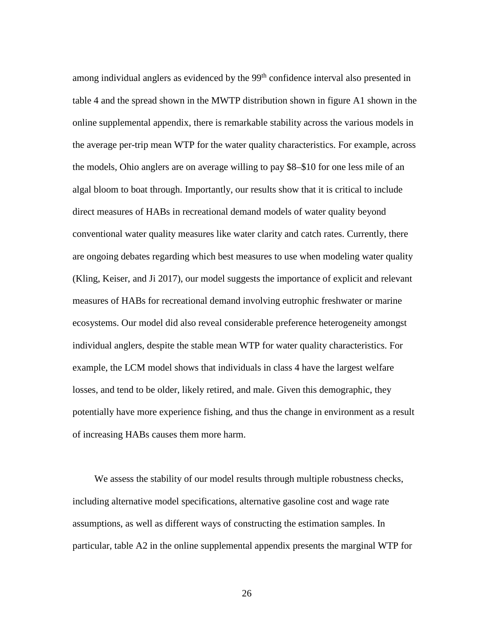among individual anglers as evidenced by the 99<sup>th</sup> confidence interval also presented in table 4 and the spread shown in the MWTP distribution shown in figure A1 shown in the online supplemental appendix, there is remarkable stability across the various models in the average per-trip mean WTP for the water quality characteristics. For example, across the models, Ohio anglers are on average willing to pay \$8–\$10 for one less mile of an algal bloom to boat through. Importantly, our results show that it is critical to include direct measures of HABs in recreational demand models of water quality beyond conventional water quality measures like water clarity and catch rates. Currently, there are ongoing debates regarding which best measures to use when modeling water quality (Kling, Keiser, and Ji 2017), our model suggests the importance of explicit and relevant measures of HABs for recreational demand involving eutrophic freshwater or marine ecosystems. Our model did also reveal considerable preference heterogeneity amongst individual anglers, despite the stable mean WTP for water quality characteristics. For example, the LCM model shows that individuals in class 4 have the largest welfare losses, and tend to be older, likely retired, and male. Given this demographic, they potentially have more experience fishing, and thus the change in environment as a result of increasing HABs causes them more harm.

 We assess the stability of our model results through multiple robustness checks, including alternative model specifications, alternative gasoline cost and wage rate assumptions, as well as different ways of constructing the estimation samples. In particular, table A2 in the online supplemental appendix presents the marginal WTP for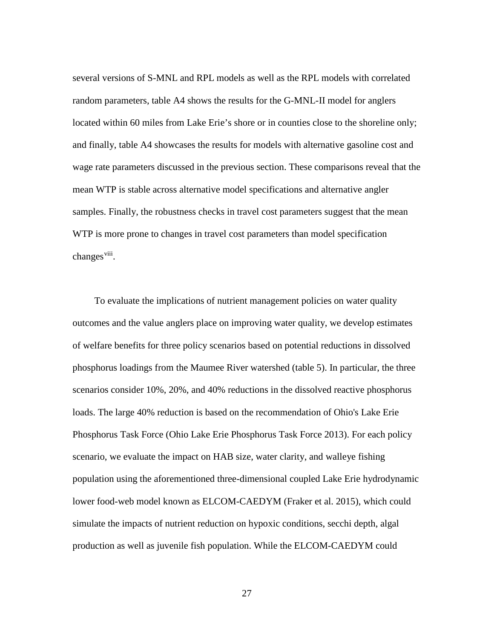several versions of S-MNL and RPL models as well as the RPL models with correlated random parameters, table A4 shows the results for the G-MNL-II model for anglers located within 60 miles from Lake Erie's shore or in counties close to the shoreline only; and finally, table A4 showcases the results for models with alternative gasoline cost and wage rate parameters discussed in the previous section. These comparisons reveal that the mean WTP is stable across alternative model specifications and alternative angler samples. Finally, the robustness checks in travel cost parameters suggest that the mean WTP is more prone to changes in travel cost parameters than model specification changes<sup>viii</sup>.

 To evaluate the implications of nutrient management policies on water quality outcomes and the value anglers place on improving water quality, we develop estimates of welfare benefits for three policy scenarios based on potential reductions in dissolved phosphorus loadings from the Maumee River watershed (table 5). In particular, the three scenarios consider 10%, 20%, and 40% reductions in the dissolved reactive phosphorus loads. The large 40% reduction is based on the recommendation of Ohio's Lake Erie Phosphorus Task Force (Ohio Lake Erie Phosphorus Task Force 2013). For each policy scenario, we evaluate the impact on HAB size, water clarity, and walleye fishing population using the aforementioned three-dimensional coupled Lake Erie hydrodynamic lower food-web model known as ELCOM-CAEDYM (Fraker et al. 2015), which could simulate the impacts of nutrient reduction on hypoxic conditions, secchi depth, algal production as well as juvenile fish population. While the ELCOM-CAEDYM could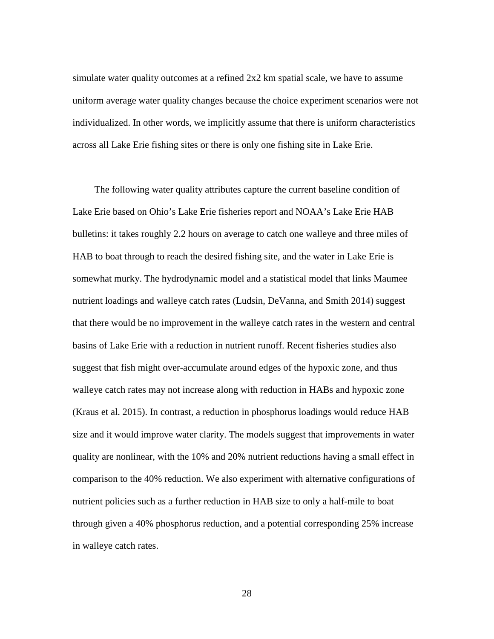simulate water quality outcomes at a refined 2x2 km spatial scale, we have to assume uniform average water quality changes because the choice experiment scenarios were not individualized. In other words, we implicitly assume that there is uniform characteristics across all Lake Erie fishing sites or there is only one fishing site in Lake Erie.

 The following water quality attributes capture the current baseline condition of Lake Erie based on Ohio's Lake Erie fisheries report and NOAA's Lake Erie HAB bulletins: it takes roughly 2.2 hours on average to catch one walleye and three miles of HAB to boat through to reach the desired fishing site, and the water in Lake Erie is somewhat murky. The hydrodynamic model and a statistical model that links Maumee nutrient loadings and walleye catch rates (Ludsin, DeVanna, and Smith 2014) suggest that there would be no improvement in the walleye catch rates in the western and central basins of Lake Erie with a reduction in nutrient runoff. Recent fisheries studies also suggest that fish might over-accumulate around edges of the hypoxic zone, and thus walleye catch rates may not increase along with reduction in HABs and hypoxic zone (Kraus et al. 2015). In contrast, a reduction in phosphorus loadings would reduce HAB size and it would improve water clarity. The models suggest that improvements in water quality are nonlinear, with the 10% and 20% nutrient reductions having a small effect in comparison to the 40% reduction. We also experiment with alternative configurations of nutrient policies such as a further reduction in HAB size to only a half-mile to boat through given a 40% phosphorus reduction, and a potential corresponding 25% increase in walleye catch rates.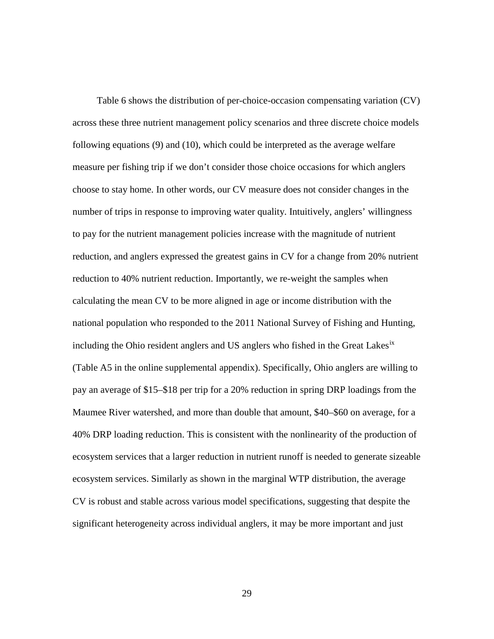Table 6 shows the distribution of per-choice-occasion compensating variation (CV) across these three nutrient management policy scenarios and three discrete choice models following equations (9) and (10), which could be interpreted as the average welfare measure per fishing trip if we don't consider those choice occasions for which anglers choose to stay home. In other words, our CV measure does not consider changes in the number of trips in response to improving water quality. Intuitively, anglers' willingness to pay for the nutrient management policies increase with the magnitude of nutrient reduction, and anglers expressed the greatest gains in CV for a change from 20% nutrient reduction to 40% nutrient reduction. Importantly, we re-weight the samples when calculating the mean CV to be more aligned in age or income distribution with the national population who responded to the 2011 National Survey of Fishing and Hunting, including the Ohio resident anglers and US anglers who fished in the Great Lakes<sup>[ix](#page-4-3)</sup> (Table A5 in the online supplemental appendix). Specifically, Ohio anglers are willing to pay an average of \$15–\$18 per trip for a 20% reduction in spring DRP loadings from the Maumee River watershed, and more than double that amount, \$40–\$60 on average, for a 40% DRP loading reduction. This is consistent with the nonlinearity of the production of ecosystem services that a larger reduction in nutrient runoff is needed to generate sizeable ecosystem services. Similarly as shown in the marginal WTP distribution, the average CV is robust and stable across various model specifications, suggesting that despite the significant heterogeneity across individual anglers, it may be more important and just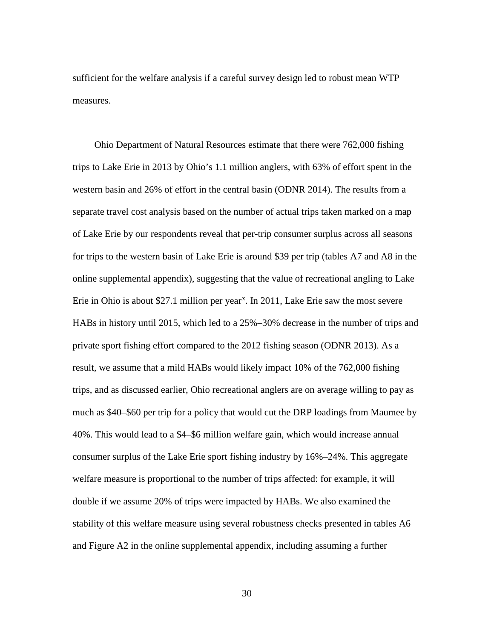sufficient for the welfare analysis if a careful survey design led to robust mean WTP measures.

 Ohio Department of Natural Resources estimate that there were 762,000 fishing trips to Lake Erie in 2013 by Ohio's 1.1 million anglers, with 63% of effort spent in the western basin and 26% of effort in the central basin (ODNR 2014). The results from a separate travel cost analysis based on the number of actual trips taken marked on a map of Lake Erie by our respondents reveal that per-trip consumer surplus across all seasons for trips to the western basin of Lake Erie is around \$39 per trip (tables A7 and A8 in the online supplemental appendix), suggesting that the value of recreational angling to Lake Erie in Ohio is about \$27.1 million per year<sup>[x](#page-5-0)</sup>. In 2011, Lake Erie saw the most severe HABs in history until 2015, which led to a 25%–30% decrease in the number of trips and private sport fishing effort compared to the 2012 fishing season (ODNR 2013). As a result, we assume that a mild HABs would likely impact 10% of the 762,000 fishing trips, and as discussed earlier, Ohio recreational anglers are on average willing to pay as much as \$40–\$60 per trip for a policy that would cut the DRP loadings from Maumee by 40%. This would lead to a \$4–\$6 million welfare gain, which would increase annual consumer surplus of the Lake Erie sport fishing industry by 16%–24%. This aggregate welfare measure is proportional to the number of trips affected: for example, it will double if we assume 20% of trips were impacted by HABs. We also examined the stability of this welfare measure using several robustness checks presented in tables A6 and Figure A2 in the online supplemental appendix, including assuming a further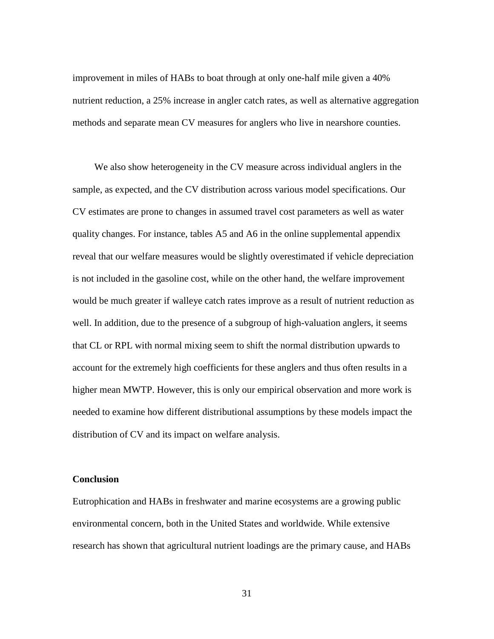improvement in miles of HABs to boat through at only one-half mile given a 40% nutrient reduction, a 25% increase in angler catch rates, as well as alternative aggregation methods and separate mean CV measures for anglers who live in nearshore counties.

 We also show heterogeneity in the CV measure across individual anglers in the sample, as expected, and the CV distribution across various model specifications. Our CV estimates are prone to changes in assumed travel cost parameters as well as water quality changes. For instance, tables A5 and A6 in the online supplemental appendix reveal that our welfare measures would be slightly overestimated if vehicle depreciation is not included in the gasoline cost, while on the other hand, the welfare improvement would be much greater if walleye catch rates improve as a result of nutrient reduction as well. In addition, due to the presence of a subgroup of high-valuation anglers, it seems that CL or RPL with normal mixing seem to shift the normal distribution upwards to account for the extremely high coefficients for these anglers and thus often results in a higher mean MWTP. However, this is only our empirical observation and more work is needed to examine how different distributional assumptions by these models impact the distribution of CV and its impact on welfare analysis.

### **Conclusion**

Eutrophication and HABs in freshwater and marine ecosystems are a growing public environmental concern, both in the United States and worldwide. While extensive research has shown that agricultural nutrient loadings are the primary cause, and HABs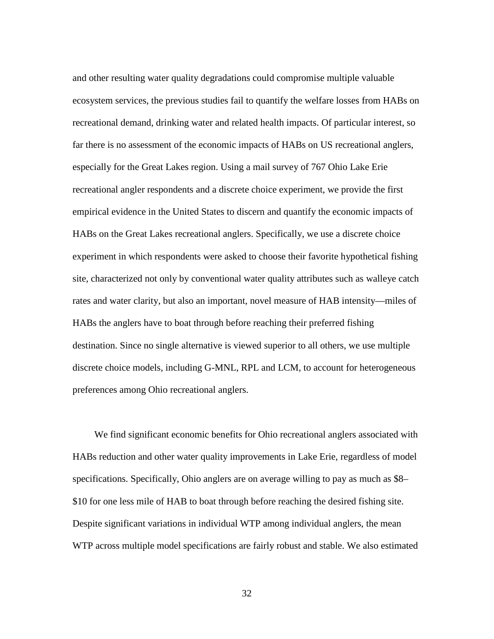and other resulting water quality degradations could compromise multiple valuable ecosystem services, the previous studies fail to quantify the welfare losses from HABs on recreational demand, drinking water and related health impacts. Of particular interest, so far there is no assessment of the economic impacts of HABs on US recreational anglers, especially for the Great Lakes region. Using a mail survey of 767 Ohio Lake Erie recreational angler respondents and a discrete choice experiment, we provide the first empirical evidence in the United States to discern and quantify the economic impacts of HABs on the Great Lakes recreational anglers. Specifically, we use a discrete choice experiment in which respondents were asked to choose their favorite hypothetical fishing site, characterized not only by conventional water quality attributes such as walleye catch rates and water clarity, but also an important, novel measure of HAB intensity—miles of HABs the anglers have to boat through before reaching their preferred fishing destination. Since no single alternative is viewed superior to all others, we use multiple discrete choice models, including G-MNL, RPL and LCM, to account for heterogeneous preferences among Ohio recreational anglers.

 We find significant economic benefits for Ohio recreational anglers associated with HABs reduction and other water quality improvements in Lake Erie, regardless of model specifications. Specifically, Ohio anglers are on average willing to pay as much as \$8– \$10 for one less mile of HAB to boat through before reaching the desired fishing site. Despite significant variations in individual WTP among individual anglers, the mean WTP across multiple model specifications are fairly robust and stable. We also estimated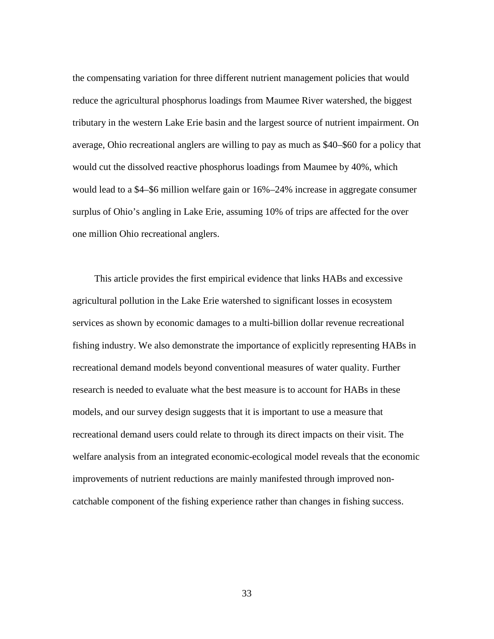the compensating variation for three different nutrient management policies that would reduce the agricultural phosphorus loadings from Maumee River watershed, the biggest tributary in the western Lake Erie basin and the largest source of nutrient impairment. On average, Ohio recreational anglers are willing to pay as much as \$40–\$60 for a policy that would cut the dissolved reactive phosphorus loadings from Maumee by 40%, which would lead to a \$4–\$6 million welfare gain or 16%–24% increase in aggregate consumer surplus of Ohio's angling in Lake Erie, assuming 10% of trips are affected for the over one million Ohio recreational anglers.

 This article provides the first empirical evidence that links HABs and excessive agricultural pollution in the Lake Erie watershed to significant losses in ecosystem services as shown by economic damages to a multi-billion dollar revenue recreational fishing industry. We also demonstrate the importance of explicitly representing HABs in recreational demand models beyond conventional measures of water quality. Further research is needed to evaluate what the best measure is to account for HABs in these models, and our survey design suggests that it is important to use a measure that recreational demand users could relate to through its direct impacts on their visit. The welfare analysis from an integrated economic-ecological model reveals that the economic improvements of nutrient reductions are mainly manifested through improved noncatchable component of the fishing experience rather than changes in fishing success.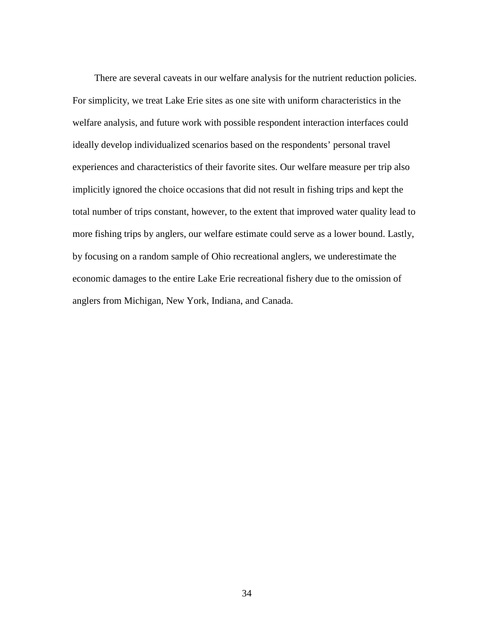There are several caveats in our welfare analysis for the nutrient reduction policies. For simplicity, we treat Lake Erie sites as one site with uniform characteristics in the welfare analysis, and future work with possible respondent interaction interfaces could ideally develop individualized scenarios based on the respondents' personal travel experiences and characteristics of their favorite sites. Our welfare measure per trip also implicitly ignored the choice occasions that did not result in fishing trips and kept the total number of trips constant, however, to the extent that improved water quality lead to more fishing trips by anglers, our welfare estimate could serve as a lower bound. Lastly, by focusing on a random sample of Ohio recreational anglers, we underestimate the economic damages to the entire Lake Erie recreational fishery due to the omission of anglers from Michigan, New York, Indiana, and Canada.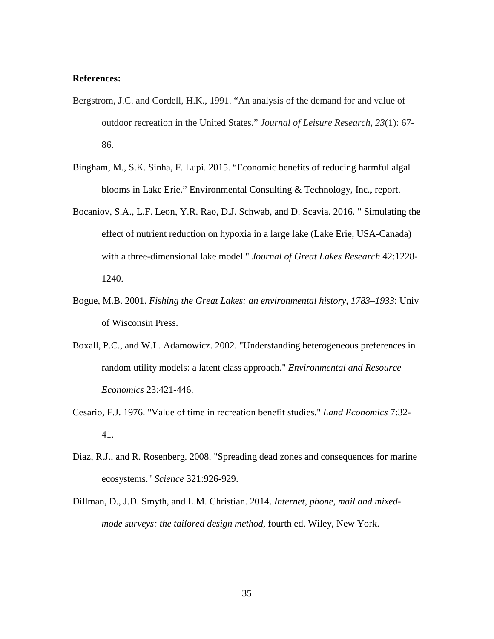### **References:**

- Bergstrom, J.C. and Cordell, H.K., 1991. "An analysis of the demand for and value of outdoor recreation in the United States." *Journal of Leisure Research*, *23*(1): 67- 86.
- Bingham, M., S.K. Sinha, F. Lupi. 2015. "Economic benefits of reducing harmful algal blooms in Lake Erie." Environmental Consulting & Technology, Inc., report.
- Bocaniov, S.A., L.F. Leon, Y.R. Rao, D.J. Schwab, and D. Scavia. 2016. " Simulating the effect of nutrient reduction on hypoxia in a large lake (Lake Erie, USA-Canada) with a three-dimensional lake model." *Journal of Great Lakes Research* 42:1228- 1240.
- Bogue, M.B. 2001. *Fishing the Great Lakes: an environmental history, 1783–1933*: Univ of Wisconsin Press.
- Boxall, P.C., and W.L. Adamowicz. 2002. "Understanding heterogeneous preferences in random utility models: a latent class approach." *Environmental and Resource Economics* 23:421-446.
- Cesario, F.J. 1976. "Value of time in recreation benefit studies." *Land Economics* 7:32- 41.
- Diaz, R.J., and R. Rosenberg. 2008. "Spreading dead zones and consequences for marine ecosystems." *Science* 321:926-929.
- Dillman, D., J.D. Smyth, and L.M. Christian. 2014. *Internet, phone, mail and mixedmode surveys: the tailored design method*, fourth ed. Wiley, New York.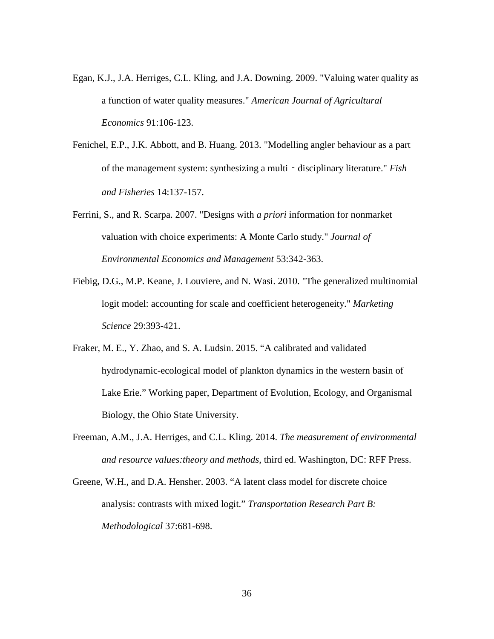- Egan, K.J., J.A. Herriges, C.L. Kling, and J.A. Downing. 2009. "Valuing water quality as a function of water quality measures." *American Journal of Agricultural Economics* 91:106-123.
- Fenichel, E.P., J.K. Abbott, and B. Huang. 2013. "Modelling angler behaviour as a part of the management system: synthesizing a multi‐disciplinary literature." *Fish and Fisheries* 14:137-157.
- Ferrini, S., and R. Scarpa. 2007. "Designs with *a priori* information for nonmarket valuation with choice experiments: A Monte Carlo study." *Journal of Environmental Economics and Management* 53:342-363.
- Fiebig, D.G., M.P. Keane, J. Louviere, and N. Wasi. 2010. "The generalized multinomial logit model: accounting for scale and coefficient heterogeneity." *Marketing Science* 29:393-421.
- Fraker, M. E., Y. Zhao, and S. A. Ludsin. 2015. "A calibrated and validated hydrodynamic-ecological model of plankton dynamics in the western basin of Lake Erie." Working paper, Department of Evolution, Ecology, and Organismal Biology, the Ohio State University.
- Freeman, A.M., J.A. Herriges, and C.L. Kling. 2014. *The measurement of environmental and resource values:theory and methods*, third ed. Washington, DC: RFF Press.
- Greene, W.H., and D.A. Hensher. 2003. "A latent class model for discrete choice analysis: contrasts with mixed logit." *Transportation Research Part B: Methodological* 37:681-698.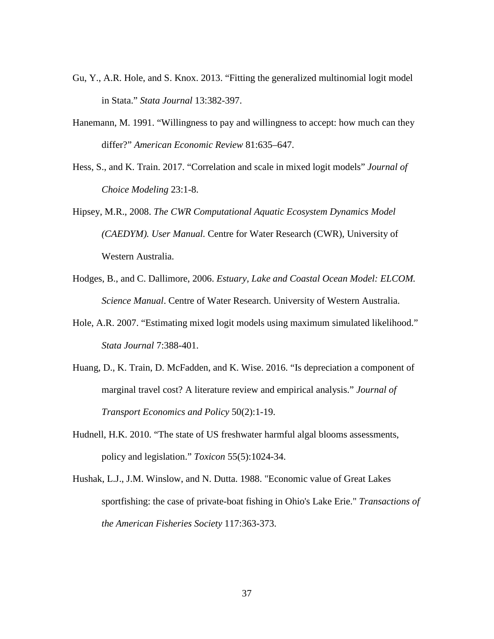- Gu, Y., A.R. Hole, and S. Knox. 2013. "Fitting the generalized multinomial logit model in Stata." *Stata Journal* 13:382-397.
- Hanemann, M. 1991. "Willingness to pay and willingness to accept: how much can they differ?" *American Economic Review* 81:635–647.
- Hess, S., and K. Train. 2017. "Correlation and scale in mixed logit models" *Journal of Choice Modeling* 23:1-8.
- Hipsey, M.R., 2008. *The CWR Computational Aquatic Ecosystem Dynamics Model (CAEDYM). User Manual.* Centre for Water Research (CWR), University of Western Australia.
- Hodges, B., and C. Dallimore, 2006. *Estuary, Lake and Coastal Ocean Model: ELCOM. Science Manual*. Centre of Water Research. University of Western Australia.
- Hole, A.R. 2007. "Estimating mixed logit models using maximum simulated likelihood." *Stata Journal* 7:388-401.
- Huang, D., K. Train, D. McFadden, and K. Wise. 2016. "Is depreciation a component of marginal travel cost? A literature review and empirical analysis." *Journal of Transport Economics and Policy* 50(2):1-19.
- Hudnell, H.K. 2010. "The state of US freshwater harmful algal blooms assessments, policy and legislation." *Toxicon* 55(5):1024-34.
- Hushak, L.J., J.M. Winslow, and N. Dutta. 1988. "Economic value of Great Lakes sportfishing: the case of private-boat fishing in Ohio's Lake Erie." *Transactions of the American Fisheries Society* 117:363-373.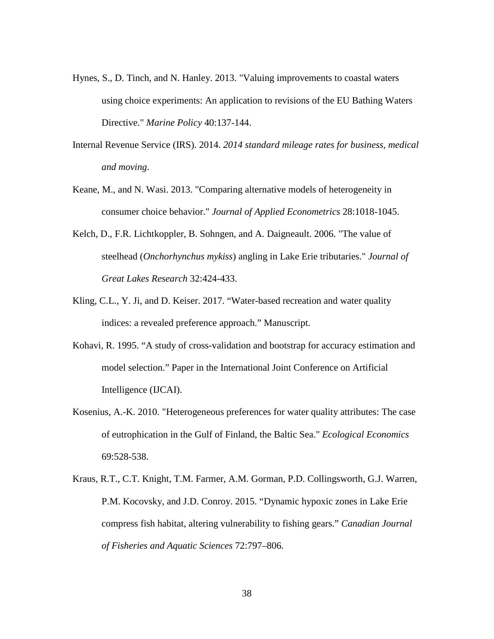- Hynes, S., D. Tinch, and N. Hanley. 2013. "Valuing improvements to coastal waters using choice experiments: An application to revisions of the EU Bathing Waters Directive." *Marine Policy* 40:137-144.
- Internal Revenue Service (IRS). 2014. *2014 standard mileage rates for business, medical and moving*.
- Keane, M., and N. Wasi. 2013. "Comparing alternative models of heterogeneity in consumer choice behavior." *Journal of Applied Econometrics* 28:1018-1045.
- Kelch, D., F.R. Lichtkoppler, B. Sohngen, and A. Daigneault. 2006. "The value of steelhead (*Onchorhynchus mykiss*) angling in Lake Erie tributaries." *Journal of Great Lakes Research* 32:424-433.
- Kling, C.L., Y. Ji, and D. Keiser. 2017. "Water-based recreation and water quality indices: a revealed preference approach." Manuscript.
- Kohavi, R. 1995. "A study of cross-validation and bootstrap for accuracy estimation and model selection." Paper in the International Joint Conference on Artificial Intelligence (IJCAI).
- Kosenius, A.-K. 2010. "Heterogeneous preferences for water quality attributes: The case of eutrophication in the Gulf of Finland, the Baltic Sea." *Ecological Economics* 69:528-538.
- Kraus, R.T., C.T. Knight, T.M. Farmer, A.M. Gorman, P.D. Collingsworth, G.J. Warren, P.M. Kocovsky, and J.D. Conroy. 2015. "Dynamic hypoxic zones in Lake Erie compress fish habitat, altering vulnerability to fishing gears." *Canadian Journal of Fisheries and Aquatic Sciences* 72:797–806.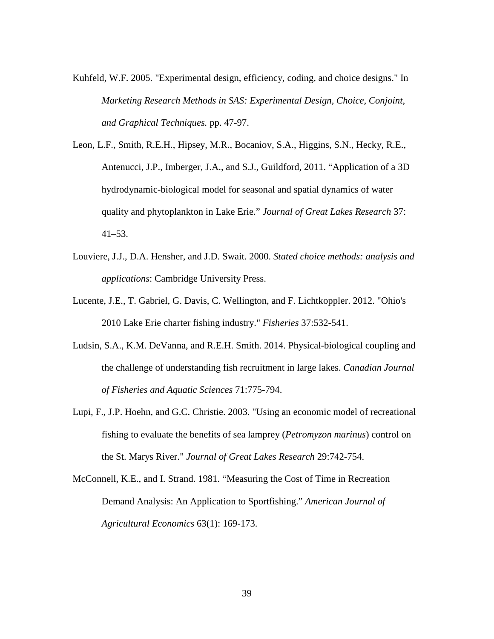- Kuhfeld, W.F. 2005. "Experimental design, efficiency, coding, and choice designs." In *Marketing Research Methods in SAS: Experimental Design, Choice, Conjoint, and Graphical Techniques.* pp. 47-97.
- Leon, L.F., Smith, R.E.H., Hipsey, M.R., Bocaniov, S.A., Higgins, S.N., Hecky, R.E., Antenucci, J.P., Imberger, J.A., and S.J., Guildford, 2011. "Application of a 3D hydrodynamic-biological model for seasonal and spatial dynamics of water quality and phytoplankton in Lake Erie." *Journal of Great Lakes Research* 37: 41–53.
- Louviere, J.J., D.A. Hensher, and J.D. Swait. 2000. *Stated choice methods: analysis and applications*: Cambridge University Press.
- Lucente, J.E., T. Gabriel, G. Davis, C. Wellington, and F. Lichtkoppler. 2012. "Ohio's 2010 Lake Erie charter fishing industry." *Fisheries* 37:532-541.
- Ludsin, S.A., K.M. DeVanna, and R.E.H. Smith. 2014. Physical-biological coupling and the challenge of understanding fish recruitment in large lakes. *Canadian Journal of Fisheries and Aquatic Sciences* 71:775-794.
- Lupi, F., J.P. Hoehn, and G.C. Christie. 2003. "Using an economic model of recreational fishing to evaluate the benefits of sea lamprey (*Petromyzon marinus*) control on the St. Marys River." *Journal of Great Lakes Research* 29:742-754.
- McConnell, K.E., and I. Strand. 1981. "Measuring the Cost of Time in Recreation Demand Analysis: An Application to Sportfishing." *American Journal of Agricultural Economics* 63(1): 169-173.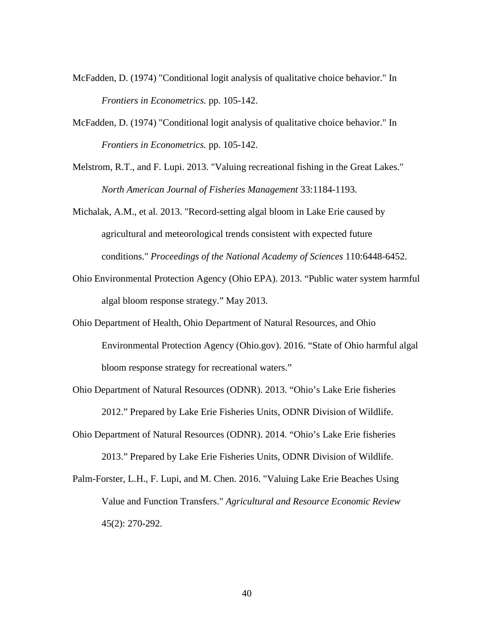- McFadden, D. (1974) "Conditional logit analysis of qualitative choice behavior." In *Frontiers in Econometrics.* pp. 105-142.
- McFadden, D. (1974) "Conditional logit analysis of qualitative choice behavior." In *Frontiers in Econometrics.* pp. 105-142.
- Melstrom, R.T., and F. Lupi. 2013. "Valuing recreational fishing in the Great Lakes." *North American Journal of Fisheries Management* 33:1184-1193.
- Michalak, A.M., et al. 2013. "Record-setting algal bloom in Lake Erie caused by agricultural and meteorological trends consistent with expected future conditions." *Proceedings of the National Academy of Sciences* 110:6448-6452.
- Ohio Environmental Protection Agency (Ohio EPA). 2013. "Public water system harmful algal bloom response strategy." May 2013.
- Ohio Department of Health, Ohio Department of Natural Resources, and Ohio Environmental Protection Agency (Ohio.gov). 2016. "State of Ohio harmful algal bloom response strategy for recreational waters."
- Ohio Department of Natural Resources (ODNR). 2013. "Ohio's Lake Erie fisheries 2012." Prepared by Lake Erie Fisheries Units, ODNR Division of Wildlife.
- Ohio Department of Natural Resources (ODNR). 2014. "Ohio's Lake Erie fisheries 2013." Prepared by Lake Erie Fisheries Units, ODNR Division of Wildlife.
- Palm-Forster, L.H., F. Lupi, and M. Chen. 2016. "Valuing Lake Erie Beaches Using Value and Function Transfers." *Agricultural and Resource Economic Review*  45(2): 270-292.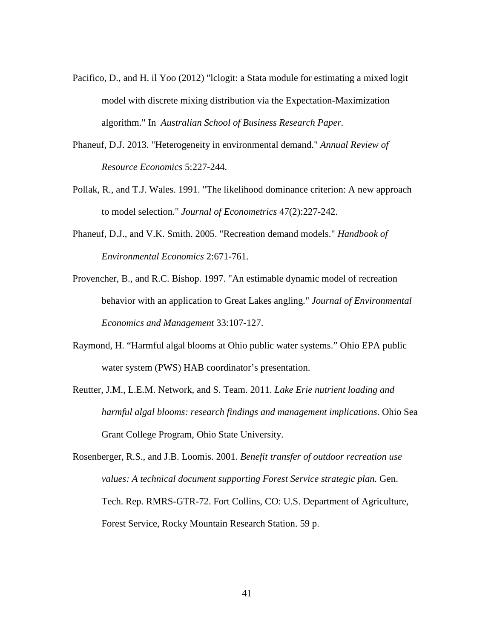- Pacifico, D., and H. il Yoo (2012) "lclogit: a Stata module for estimating a mixed logit model with discrete mixing distribution via the Expectation-Maximization algorithm." In *Australian School of Business Research Paper.*
- Phaneuf, D.J. 2013. "Heterogeneity in environmental demand." *Annual Review of Resource Economics* 5:227-244.
- Pollak, R., and T.J. Wales. 1991. "The likelihood dominance criterion: A new approach to model selection." *Journal of Econometrics* 47(2):227-242.
- Phaneuf, D.J., and V.K. Smith. 2005. "Recreation demand models." *Handbook of Environmental Economics* 2:671-761.
- Provencher, B., and R.C. Bishop. 1997. "An estimable dynamic model of recreation behavior with an application to Great Lakes angling." *Journal of Environmental Economics and Management* 33:107-127.
- Raymond, H. "Harmful algal blooms at Ohio public water systems." Ohio EPA public water system (PWS) HAB coordinator's presentation.
- Reutter, J.M., L.E.M. Network, and S. Team. 2011. *Lake Erie nutrient loading and harmful algal blooms: research findings and management implications*. Ohio Sea Grant College Program, Ohio State University.
- Rosenberger, R.S., and J.B. Loomis. 2001. *Benefit transfer of outdoor recreation use values: A technical document supporting Forest Service strategic plan.* Gen. Tech. Rep. RMRS-GTR-72. Fort Collins, CO: U.S. Department of Agriculture, Forest Service, Rocky Mountain Research Station. 59 p.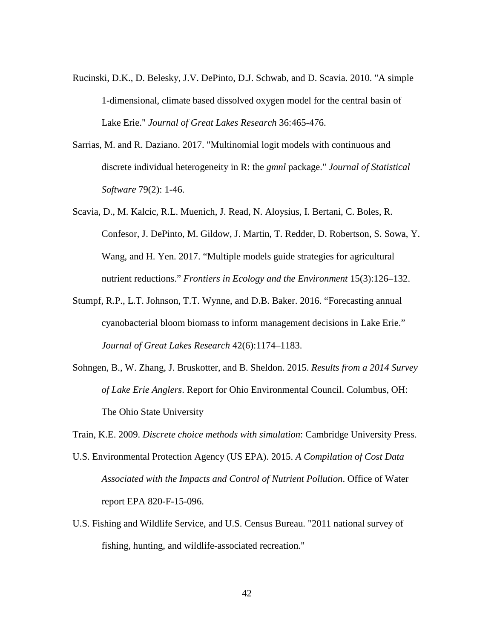- Rucinski, D.K., D. Belesky, J.V. DePinto, D.J. Schwab, and D. Scavia. 2010. "A simple 1-dimensional, climate based dissolved oxygen model for the central basin of Lake Erie." *Journal of Great Lakes Research* 36:465-476.
- Sarrias, M. and R. Daziano. 2017. "Multinomial logit models with continuous and discrete individual heterogeneity in R: the *gmnl* package." *Journal of Statistical Software* 79(2): 1-46.
- Scavia, D., M. Kalcic, R.L. Muenich, J. Read, N. Aloysius, I. Bertani, C. Boles, R. Confesor, J. DePinto, M. Gildow, J. Martin, T. Redder, D. Robertson, S. Sowa, Y. Wang, and H. Yen. 2017. "Multiple models guide strategies for agricultural nutrient reductions." *Frontiers in Ecology and the Environment* 15(3):126–132.
- Stumpf, R.P., L.T. Johnson, T.T. Wynne, and D.B. Baker. 2016. "Forecasting annual cyanobacterial bloom biomass to inform management decisions in Lake Erie." *Journal of Great Lakes Research* 42(6):1174–1183.
- Sohngen, B., W. Zhang, J. Bruskotter, and B. Sheldon. 2015. *Results from a 2014 Survey of Lake Erie Anglers*. Report for Ohio Environmental Council. Columbus, OH: The Ohio State University

Train, K.E. 2009. *Discrete choice methods with simulation*: Cambridge University Press.

- U.S. Environmental Protection Agency (US EPA). 2015. *A Compilation of Cost Data Associated with the Impacts and Control of Nutrient Pollution*. Office of Water report EPA 820-F-15-096.
- U.S. Fishing and Wildlife Service, and U.S. Census Bureau. "2011 national survey of fishing, hunting, and wildlife-associated recreation."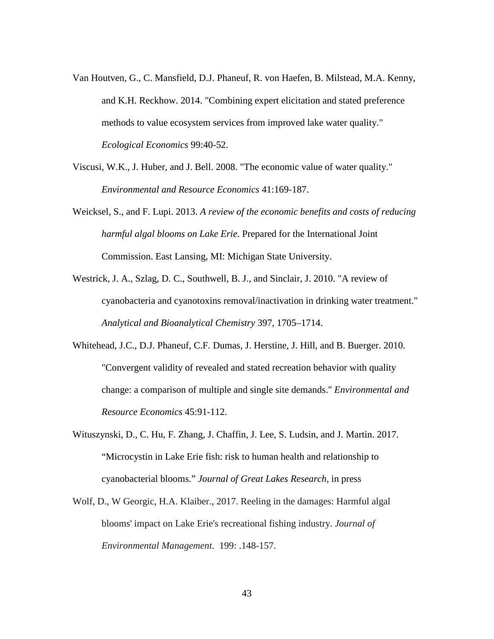- Van Houtven, G., C. Mansfield, D.J. Phaneuf, R. von Haefen, B. Milstead, M.A. Kenny, and K.H. Reckhow. 2014. "Combining expert elicitation and stated preference methods to value ecosystem services from improved lake water quality." *Ecological Economics* 99:40-52.
- Viscusi, W.K., J. Huber, and J. Bell. 2008. "The economic value of water quality." *Environmental and Resource Economics* 41:169-187.
- Weicksel, S., and F. Lupi. 2013. *A review of the economic benefits and costs of reducing harmful algal blooms on Lake Erie*. Prepared for the International Joint Commission. East Lansing, MI: Michigan State University.
- Westrick, J. A., Szlag, D. C., Southwell, B. J., and Sinclair, J. 2010. "A review of cyanobacteria and cyanotoxins removal/inactivation in drinking water treatment." *Analytical and Bioanalytical Chemistry* 397, 1705–1714.
- Whitehead, J.C., D.J. Phaneuf, C.F. Dumas, J. Herstine, J. Hill, and B. Buerger. 2010. "Convergent validity of revealed and stated recreation behavior with quality change: a comparison of multiple and single site demands." *Environmental and Resource Economics* 45:91-112.
- Wituszynski, D., C. Hu, F. Zhang, J. Chaffin, J. Lee, S. Ludsin, and J. Martin. 2017. "Microcystin in Lake Erie fish: risk to human health and relationship to cyanobacterial blooms." *Journal of Great Lakes Research,* in press
- Wolf, D., W Georgic, H.A. Klaiber., 2017. Reeling in the damages: Harmful algal blooms' impact on Lake Erie's recreational fishing industry. *Journal of Environmental Management*. 199: .148-157.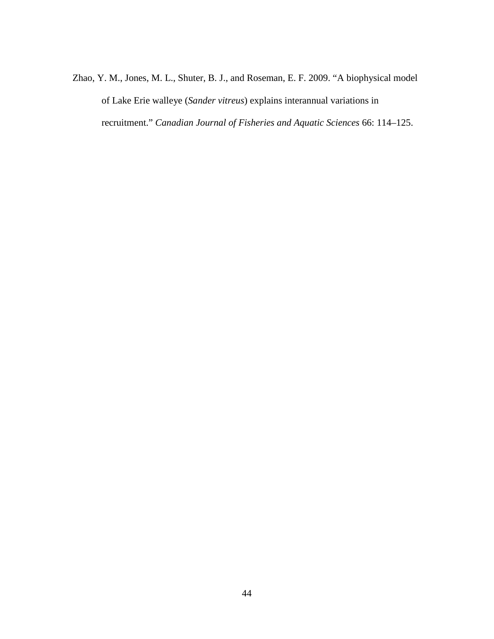Zhao, Y. M., Jones, M. L., Shuter, B. J., and Roseman, E. F. 2009. "A biophysical model of Lake Erie walleye (*Sander vitreus*) explains interannual variations in recruitment." *Canadian Journal of Fisheries and Aquatic Sciences* 66: 114–125.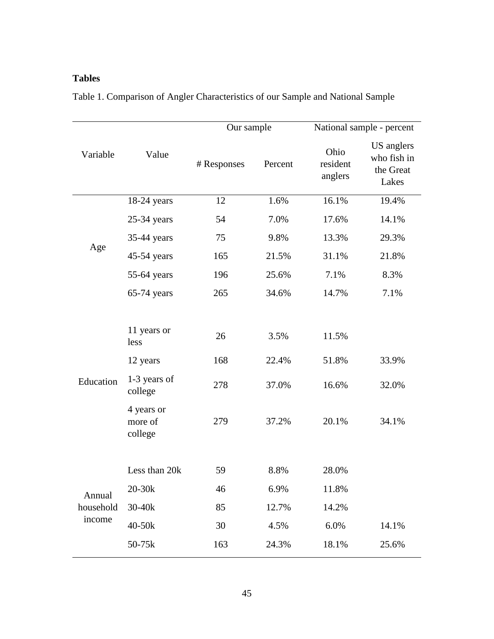# **Tables**

|                               |                                                                                                | Our sample                  |                                        | National sample - percent                |                                                 |  |
|-------------------------------|------------------------------------------------------------------------------------------------|-----------------------------|----------------------------------------|------------------------------------------|-------------------------------------------------|--|
| Variable                      | Value                                                                                          | # Responses                 | Percent                                | Ohio<br>resident<br>anglers              | US anglers<br>who fish in<br>the Great<br>Lakes |  |
|                               | $18-24$ years                                                                                  | 12                          | 1.6%                                   | 16.1%                                    | 19.4%                                           |  |
|                               | $25-34$ years                                                                                  | 54                          | 7.0%                                   | 17.6%                                    | 14.1%                                           |  |
|                               | 35-44 years                                                                                    | 75                          | 9.8%                                   | 13.3%                                    | 29.3%                                           |  |
| Age                           | 45-54 years                                                                                    | 165                         | 21.5%                                  | 31.1%                                    | 21.8%                                           |  |
|                               | 55-64 years                                                                                    | 196                         | 25.6%                                  | 7.1%                                     | 8.3%                                            |  |
|                               | 65-74 years                                                                                    | 265                         | 34.6%                                  | 14.7%                                    | 7.1%                                            |  |
| Education                     | 11 years or<br>less<br>12 years<br>1-3 years of<br>college<br>4 years or<br>more of<br>college | 26<br>168<br>278<br>279     | 3.5%<br>22.4%<br>37.0%<br>37.2%        | 11.5%<br>51.8%<br>16.6%<br>20.1%         | 33.9%<br>32.0%<br>34.1%                         |  |
| Annual<br>household<br>income | Less than 20k<br>20-30k<br>$30 - 40k$<br>40-50k<br>50-75k                                      | 59<br>46<br>85<br>30<br>163 | 8.8%<br>6.9%<br>12.7%<br>4.5%<br>24.3% | 28.0%<br>11.8%<br>14.2%<br>6.0%<br>18.1% | 14.1%<br>25.6%                                  |  |

Table 1. Comparison of Angler Characteristics of our Sample and National Sample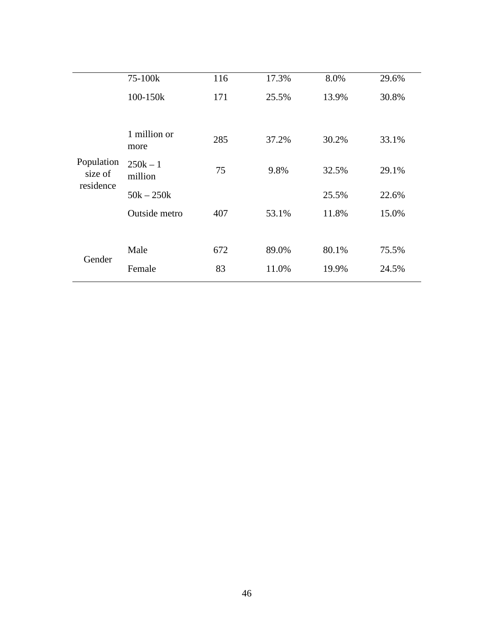|                       | 75-100k               | 116 | 17.3% | 8.0%  | 29.6% |
|-----------------------|-----------------------|-----|-------|-------|-------|
|                       | 100-150k              | 171 | 25.5% | 13.9% | 30.8% |
|                       |                       |     |       |       |       |
| Population<br>size of | 1 million or<br>more  | 285 | 37.2% | 30.2% | 33.1% |
|                       | $250k - 1$<br>million | 75  | 9.8%  | 32.5% | 29.1% |
| residence             | $50k - 250k$          |     |       | 25.5% | 22.6% |
|                       | Outside metro         | 407 | 53.1% | 11.8% | 15.0% |
|                       |                       |     |       |       |       |
|                       | Male                  | 672 | 89.0% | 80.1% | 75.5% |
| Gender                | Female                | 83  | 11.0% | 19.9% | 24.5% |
|                       |                       |     |       |       |       |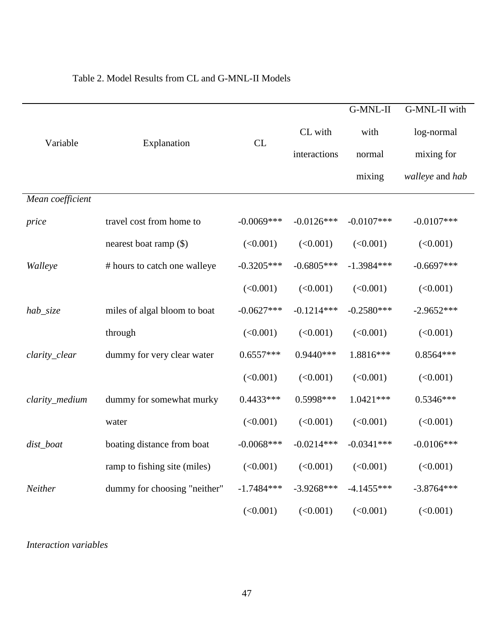|                  |                              |              |              | G-MNL-II     | G-MNL-II with   |
|------------------|------------------------------|--------------|--------------|--------------|-----------------|
|                  |                              |              | CL with      | with         | log-normal      |
| Variable         | Explanation                  | CL           | interactions | normal       | mixing for      |
|                  |                              |              |              | mixing       | walleye and hab |
| Mean coefficient |                              |              |              |              |                 |
| price            | travel cost from home to     | $-0.0069***$ | $-0.0126***$ | $-0.0107***$ | $-0.0107***$    |
|                  | nearest boat ramp (\$)       | (<0.001)     | (<0.001)     | (<0.001)     | (<0.001)        |
| Walleye          | # hours to catch one walleye | $-0.3205***$ | $-0.6805***$ | $-1.3984***$ | $-0.6697***$    |
|                  |                              | (<0.001)     | (<0.001)     | (<0.001)     | (<0.001)        |
| hab_size         | miles of algal bloom to boat | $-0.0627***$ | $-0.1214***$ | $-0.2580***$ | $-2.9652***$    |
|                  | through                      | (<0.001)     | (<0.001)     | (<0.001)     | (<0.001)        |
| clarity_clear    | dummy for very clear water   | $0.6557***$  | $0.9440***$  | 1.8816***    | $0.8564***$     |
|                  |                              | (<0.001)     | (<0.001)     | (<0.001)     | (<0.001)        |
| clarity_medium   | dummy for somewhat murky     | $0.4433***$  | 0.5998***    | $1.0421***$  | $0.5346***$     |
|                  | water                        | (<0.001)     | (<0.001)     | (<0.001)     | (<0.001)        |
| dist_boat        | boating distance from boat   | $-0.0068***$ | $-0.0214***$ | $-0.0341***$ | $-0.0106***$    |
|                  | ramp to fishing site (miles) | (<0.001)     | (<0.001)     | (<0.001)     | (<0.001)        |
| Neither          | dummy for choosing "neither" | $-1.7484***$ | $-3.9268***$ | $-4.1455***$ | $-3.8764***$    |
|                  |                              | (<0.001)     | (<0.001)     | (<0.001)     | (<0.001)        |

## Table 2. Model Results from CL and G-MNL-II Models

*Interaction variables*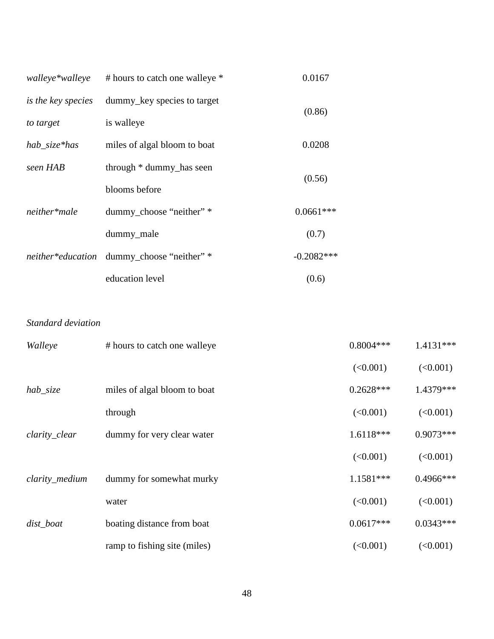| walleye*walleye    | # hours to catch one walleye *             | 0.0167       |
|--------------------|--------------------------------------------|--------------|
| is the key species | dummy_key species to target                | (0.86)       |
| to target          | is walleye                                 |              |
| hab_size*has       | miles of algal bloom to boat               | 0.0208       |
| seen HAB           | through * dummy_has seen                   | (0.56)       |
|                    | blooms before                              |              |
| neither*male       | dummy_choose "neither" *                   | $0.0661***$  |
|                    | dummy_male                                 | (0.7)        |
|                    | neither*education dummy_choose "neither" * | $-0.2082***$ |
|                    | education level                            | (0.6)        |

### *Standard deviation*

| Walleye        | # hours to catch one walleye | $0.8004***$ | $1.4131***$ |
|----------------|------------------------------|-------------|-------------|
|                |                              | (<0.001)    | (<0.001)    |
| $hab\_size$    | miles of algal bloom to boat | $0.2628***$ | 1.4379***   |
|                | through                      | (<0.001)    | (<0.001)    |
| clarity_clear  | dummy for very clear water   | $1.6118***$ | $0.9073***$ |
|                |                              | (<0.001)    | (<0.001)    |
| clarity_medium | dummy for somewhat murky     | $1.1581***$ | $0.4966***$ |
|                | water                        | (<0.001)    | (<0.001)    |
| dist_boat      | boating distance from boat   | $0.0617***$ | $0.0343***$ |
|                | ramp to fishing site (miles) | (<0.001)    | (<0.001)    |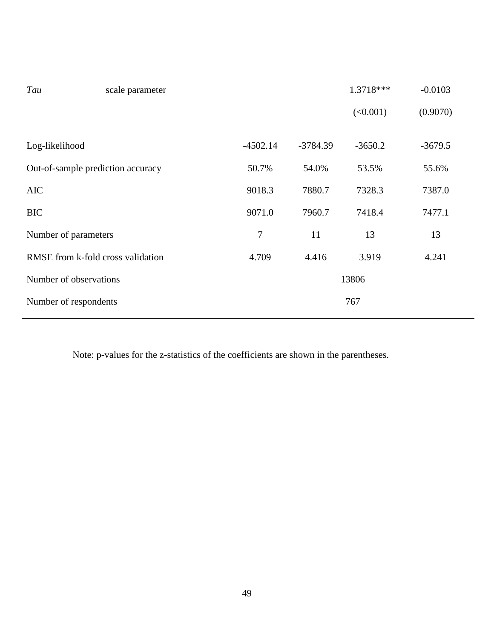| Tau                               | scale parameter |            |            | 1.3718*** | $-0.0103$ |
|-----------------------------------|-----------------|------------|------------|-----------|-----------|
|                                   |                 |            |            | (<0.001)  | (0.9070)  |
|                                   |                 |            |            |           |           |
| Log-likelihood                    |                 | $-4502.14$ | $-3784.39$ | $-3650.2$ | $-3679.5$ |
| Out-of-sample prediction accuracy |                 | 50.7%      | 54.0%      | 53.5%     | 55.6%     |
| <b>AIC</b>                        |                 | 9018.3     | 7880.7     | 7328.3    | 7387.0    |
| <b>BIC</b>                        |                 | 9071.0     | 7960.7     | 7418.4    | 7477.1    |
| Number of parameters              |                 | 7          | 11         | 13        | 13        |
| RMSE from k-fold cross validation |                 | 4.709      | 4.416      | 3.919     | 4.241     |
| Number of observations            |                 |            |            | 13806     |           |
| Number of respondents             |                 |            |            | 767       |           |
|                                   |                 |            |            |           |           |

Note: p-values for the z-statistics of the coefficients are shown in the parentheses.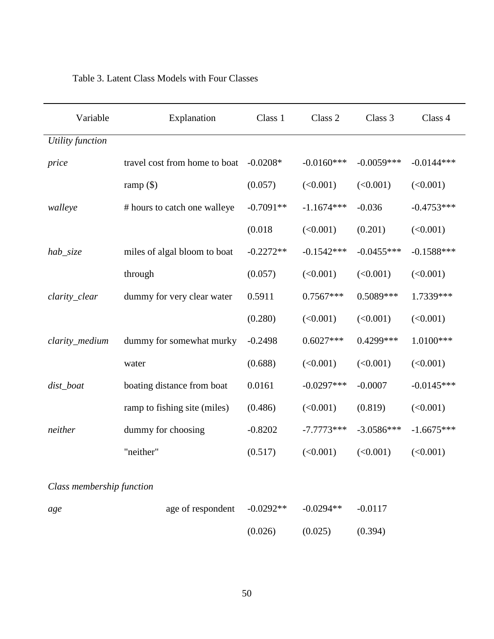| Variable                  | Explanation                   | Class 1     | Class 2      | Class 3      | Class 4      |
|---------------------------|-------------------------------|-------------|--------------|--------------|--------------|
| Utility function          |                               |             |              |              |              |
| price                     | travel cost from home to boat | $-0.0208*$  | $-0.0160***$ | $-0.0059***$ | $-0.0144***$ |
|                           | ramp $(\$)$                   | (0.057)     | (<0.001)     | (<0.001)     | (<0.001)     |
| walleye                   | # hours to catch one walleye  | $-0.7091**$ | $-1.1674***$ | $-0.036$     | $-0.4753***$ |
|                           |                               | (0.018)     | (<0.001)     | (0.201)      | (<0.001)     |
| hab_size                  | miles of algal bloom to boat  | $-0.2272**$ | $-0.1542***$ | $-0.0455***$ | $-0.1588***$ |
|                           | through                       | (0.057)     | (<0.001)     | (<0.001)     | (<0.001)     |
| clarity_clear             | dummy for very clear water    | 0.5911      | $0.7567***$  | 0.5089***    | 1.7339***    |
|                           |                               | (0.280)     | (<0.001)     | (<0.001)     | (<0.001)     |
| clarity_medium            | dummy for somewhat murky      | $-0.2498$   | $0.6027***$  | 0.4299***    | 1.0100***    |
|                           | water                         | (0.688)     | (<0.001)     | (<0.001)     | (<0.001)     |
| dist_boat                 | boating distance from boat    | 0.0161      | $-0.0297***$ | $-0.0007$    | $-0.0145***$ |
|                           | ramp to fishing site (miles)  | (0.486)     | (<0.001)     | (0.819)      | (<0.001)     |
| neither                   | dummy for choosing            | $-0.8202$   | $-7.7773***$ | $-3.0586***$ | $-1.6675***$ |
|                           | "neither"                     | (0.517)     | (<0.001)     | (<0.001)     | (<0.001)     |
|                           |                               |             |              |              |              |
| Class membership function |                               |             |              |              |              |
| age                       | age of respondent             | $-0.0292**$ | $-0.0294**$  | $-0.0117$    |              |
|                           |                               | (0.026)     | (0.025)      | (0.394)      |              |

## Table 3. Latent Class Models with Four Classes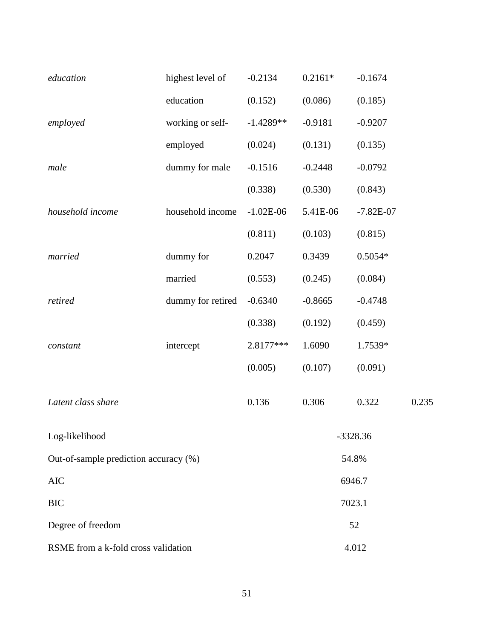| education                             | highest level of  | $-0.2134$   | $0.2161*$ | $-0.1674$   |       |  |
|---------------------------------------|-------------------|-------------|-----------|-------------|-------|--|
|                                       | education         | (0.152)     | (0.086)   | (0.185)     |       |  |
| employed                              | working or self-  | $-1.4289**$ | $-0.9181$ | $-0.9207$   |       |  |
|                                       | employed          | (0.024)     | (0.131)   | (0.135)     |       |  |
| male                                  | dummy for male    | $-0.1516$   | $-0.2448$ | $-0.0792$   |       |  |
|                                       |                   | (0.338)     | (0.530)   | (0.843)     |       |  |
| household income                      | household income  | $-1.02E-06$ | 5.41E-06  | $-7.82E-07$ |       |  |
|                                       |                   | (0.811)     | (0.103)   | (0.815)     |       |  |
| married                               | dummy for         | 0.2047      | 0.3439    | $0.5054*$   |       |  |
|                                       | married           | (0.553)     | (0.245)   | (0.084)     |       |  |
| retired                               | dummy for retired | $-0.6340$   | $-0.8665$ | $-0.4748$   |       |  |
|                                       |                   | (0.338)     | (0.192)   | (0.459)     |       |  |
| constant                              | intercept         | 2.8177***   | 1.6090    | 1.7539*     |       |  |
|                                       |                   | (0.005)     | (0.107)   | (0.091)     |       |  |
| Latent class share                    |                   | 0.136       | 0.306     | 0.322       | 0.235 |  |
| Log-likelihood                        |                   |             |           | $-3328.36$  |       |  |
| Out-of-sample prediction accuracy (%) |                   |             |           | 54.8%       |       |  |
| <b>AIC</b>                            |                   |             |           | 6946.7      |       |  |
| <b>BIC</b>                            |                   |             |           | 7023.1      |       |  |
| Degree of freedom                     |                   | 52          |           |             |       |  |
| RSME from a k-fold cross validation   |                   | 4.012       |           |             |       |  |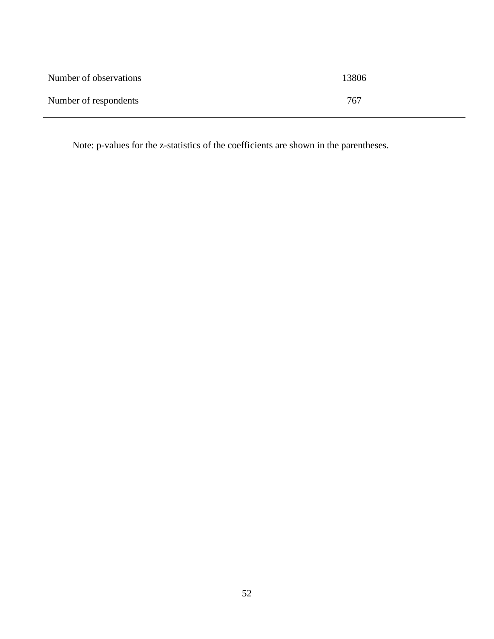| Number of observations | 13806 |
|------------------------|-------|
| Number of respondents  | 767   |

Note: p-values for the z-statistics of the coefficients are shown in the parentheses.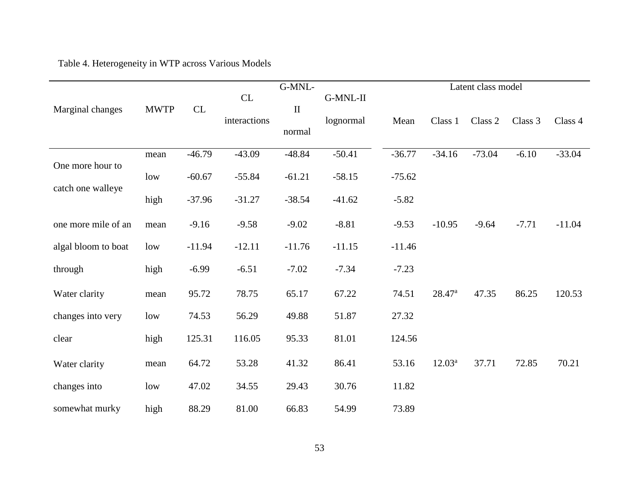# Table 4. Heterogeneity in WTP across Various Models

|                     |             |            |              | G-MNL-       |           |          |                    | Latent class model |         |          |
|---------------------|-------------|------------|--------------|--------------|-----------|----------|--------------------|--------------------|---------|----------|
| Marginal changes    | <b>MWTP</b> | ${\rm CL}$ | CL           | $\mathbf{I}$ | G-MNL-II  |          |                    |                    |         |          |
|                     |             |            | interactions |              | lognormal | Mean     | Class 1            | Class 2            | Class 3 | Class 4  |
|                     |             |            |              | normal       |           |          |                    |                    |         |          |
|                     | mean        | $-46.79$   | $-43.09$     | $-48.84$     | $-50.41$  | $-36.77$ | $-34.16$           | $-73.04$           | $-6.10$ | $-33.04$ |
| One more hour to    | low         | $-60.67$   | $-55.84$     | $-61.21$     | $-58.15$  | $-75.62$ |                    |                    |         |          |
| catch one walleye   | high        | $-37.96$   | $-31.27$     | $-38.54$     | $-41.62$  | $-5.82$  |                    |                    |         |          |
|                     |             |            |              |              |           |          |                    |                    |         |          |
| one more mile of an | mean        | $-9.16$    | $-9.58$      | $-9.02$      | $-8.81$   | $-9.53$  | $-10.95$           | $-9.64$            | $-7.71$ | $-11.04$ |
| algal bloom to boat | low         | $-11.94$   | $-12.11$     | $-11.76$     | $-11.15$  | $-11.46$ |                    |                    |         |          |
| through             | high        | $-6.99$    | $-6.51$      | $-7.02$      | $-7.34$   | $-7.23$  |                    |                    |         |          |
| Water clarity       | mean        | 95.72      | 78.75        | 65.17        | 67.22     | 74.51    | 28.47 <sup>a</sup> | 47.35              | 86.25   | 120.53   |
| changes into very   | low         | 74.53      | 56.29        | 49.88        | 51.87     | 27.32    |                    |                    |         |          |
| clear               | high        | 125.31     | 116.05       | 95.33        | 81.01     | 124.56   |                    |                    |         |          |
| Water clarity       | mean        | 64.72      | 53.28        | 41.32        | 86.41     | 53.16    | $12.03^a$          | 37.71              | 72.85   | 70.21    |
| changes into        | low         | 47.02      | 34.55        | 29.43        | 30.76     | 11.82    |                    |                    |         |          |
| somewhat murky      | high        | 88.29      | 81.00        | 66.83        | 54.99     | 73.89    |                    |                    |         |          |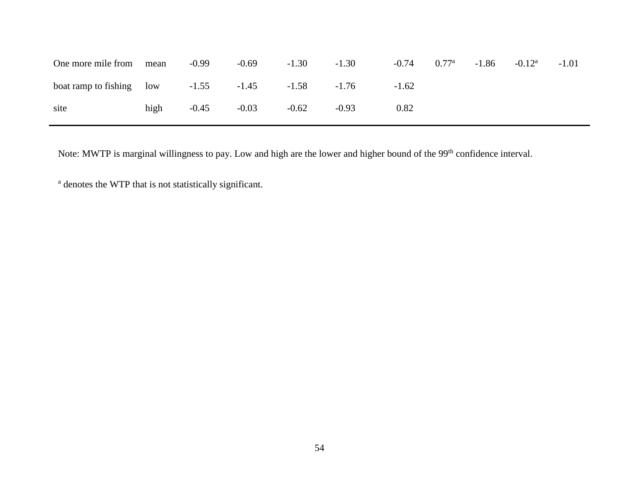| One more mile from                                       | mean | $-0.99$ | $-0.69$ | $-1.30$ | $-1.30$ | $-0.74$ | $0.77^{\rm a}$ | $-1.86$ | $-0.12^{\rm a}$ | $-1.01$ |
|----------------------------------------------------------|------|---------|---------|---------|---------|---------|----------------|---------|-----------------|---------|
| boat ramp to fishing low $-1.55$ $-1.45$ $-1.58$ $-1.76$ |      |         |         |         |         | $-1.62$ |                |         |                 |         |
| site                                                     | high | $-0.45$ | $-0.03$ | $-0.62$ | $-0.93$ | 0.82    |                |         |                 |         |

Note: MWTP is marginal willingness to pay. Low and high are the lower and higher bound of the 99<sup>th</sup> confidence interval.

<sup>a</sup> denotes the WTP that is not statistically significant.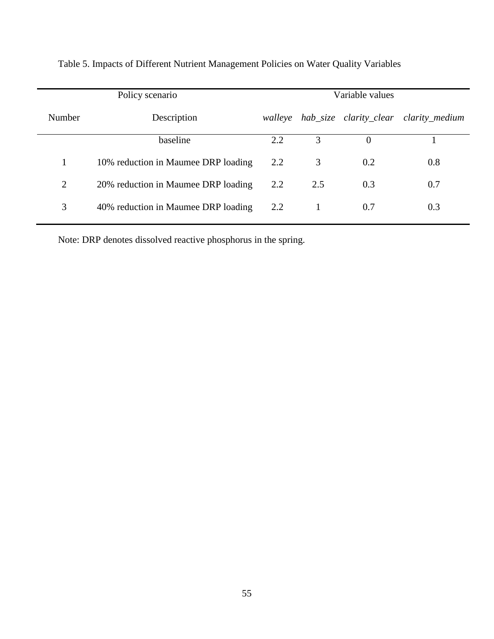|                | Policy scenario                     | Variable values |     |                        |                |  |
|----------------|-------------------------------------|-----------------|-----|------------------------|----------------|--|
| Number         | Description                         | walleye         |     | hab_size clarity_clear | clarity_medium |  |
|                | baseline                            | 2.2             | 3   | $\Omega$               |                |  |
|                | 10% reduction in Maumee DRP loading | 2.2             | 3   | 0.2                    | 0.8            |  |
| $\overline{2}$ | 20% reduction in Maumee DRP loading | 2.2             | 2.5 | 0.3                    | 0.7            |  |
| 3              | 40% reduction in Maumee DRP loading | 2.2             |     | 0.7                    | 0.3            |  |

Table 5. Impacts of Different Nutrient Management Policies on Water Quality Variables

Note: DRP denotes dissolved reactive phosphorus in the spring.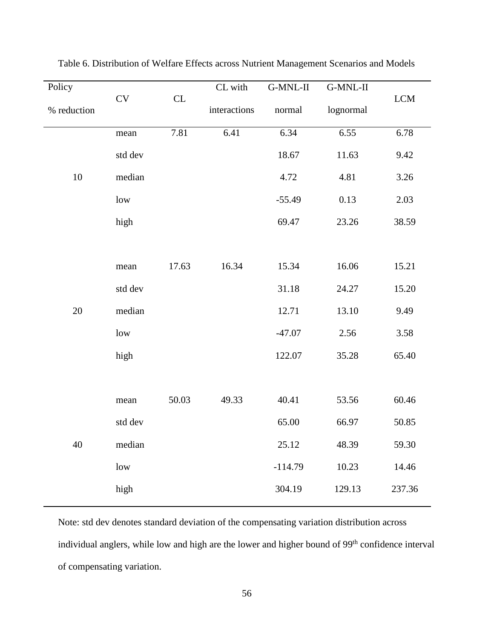| Policy      |          |       | CL with      | G-MNL-II  | G-MNL-II  |                                  |
|-------------|----------|-------|--------------|-----------|-----------|----------------------------------|
| % reduction | CV<br>CL |       | interactions | normal    | lognormal | $\ensuremath{\text{LCM}}\xspace$ |
|             | mean     | 7.81  | 6.41         | 6.34      | 6.55      | 6.78                             |
|             | std dev  |       |              | 18.67     | 11.63     | 9.42                             |
| 10          | median   |       |              | 4.72      | 4.81      | 3.26                             |
|             | low      |       |              | $-55.49$  | 0.13      | 2.03                             |
|             | high     |       |              | 69.47     | 23.26     | 38.59                            |
|             |          |       |              |           |           |                                  |
|             | mean     | 17.63 | 16.34        | 15.34     | 16.06     | 15.21                            |
|             | std dev  |       |              | 31.18     | 24.27     | 15.20                            |
| 20          | median   |       |              | 12.71     | 13.10     | 9.49                             |
|             | low      |       |              | $-47.07$  | 2.56      | 3.58                             |
|             | high     |       |              | 122.07    | 35.28     | 65.40                            |
|             |          |       |              |           |           |                                  |
|             | mean     | 50.03 | 49.33        | 40.41     | 53.56     | 60.46                            |
|             | std dev  |       |              | 65.00     | 66.97     | 50.85                            |
| 40          | median   |       |              | 25.12     | 48.39     | 59.30                            |
|             | low      |       |              | $-114.79$ | 10.23     | 14.46                            |
|             | high     |       |              | 304.19    | 129.13    | 237.36                           |
|             |          |       |              |           |           |                                  |

Table 6. Distribution of Welfare Effects across Nutrient Management Scenarios and Models

Note: std dev denotes standard deviation of the compensating variation distribution across individual anglers, while low and high are the lower and higher bound of 99<sup>th</sup> confidence interval of compensating variation.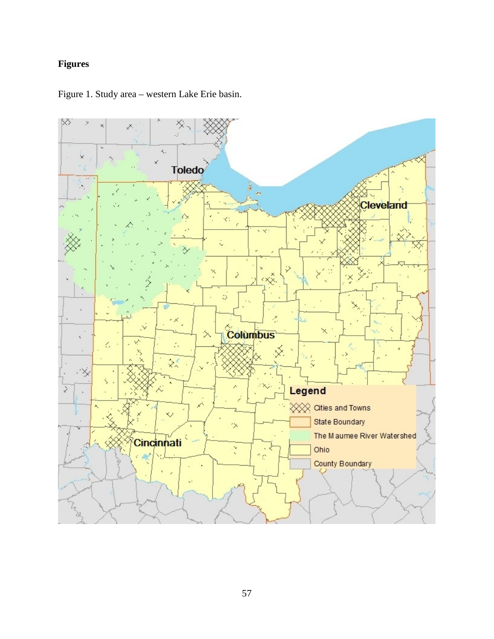# **Figures**



Figure 1. Study area – western Lake Erie basin.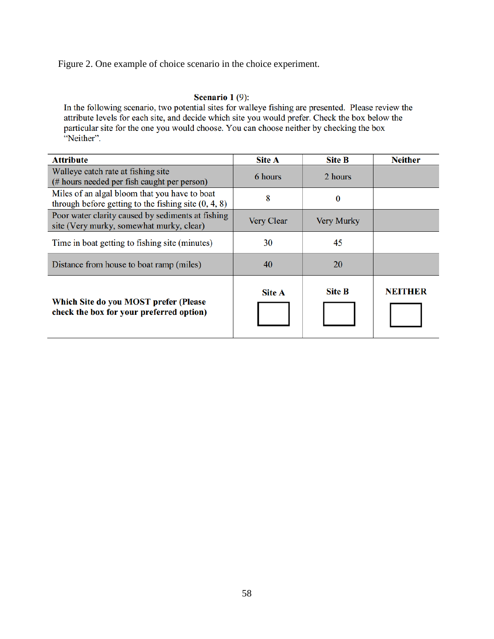Figure 2. One example of choice scenario in the choice experiment.

#### Scenario  $1(9)$ :

In the following scenario, two potential sites for walleye fishing are presented. Please review the attribute levels for each site, and decide which site you would prefer. Check the box below the particular site for the one you would choose. You can choose neither by checking the box "Neither".

| <b>Attribute</b>                                                                                        | <b>Site A</b>     | <b>Site B</b>     | <b>Neither</b> |
|---------------------------------------------------------------------------------------------------------|-------------------|-------------------|----------------|
| Walleye catch rate at fishing site<br>(# hours needed per fish caught per person)                       | 6 hours           | 2 hours           |                |
| Miles of an algal bloom that you have to boat<br>through before getting to the fishing site $(0, 4, 8)$ | 8                 | 0                 |                |
| Poor water clarity caused by sediments at fishing<br>site (Very murky, somewhat murky, clear)           | <b>Very Clear</b> | <b>Very Murky</b> |                |
| Time in boat getting to fishing site (minutes)                                                          | 30                | 45                |                |
| Distance from house to boat ramp (miles)                                                                | 40                | 20                |                |
| Which Site do you MOST prefer (Please<br>check the box for your preferred option)                       | <b>Site A</b>     | <b>Site B</b>     | <b>NEITHER</b> |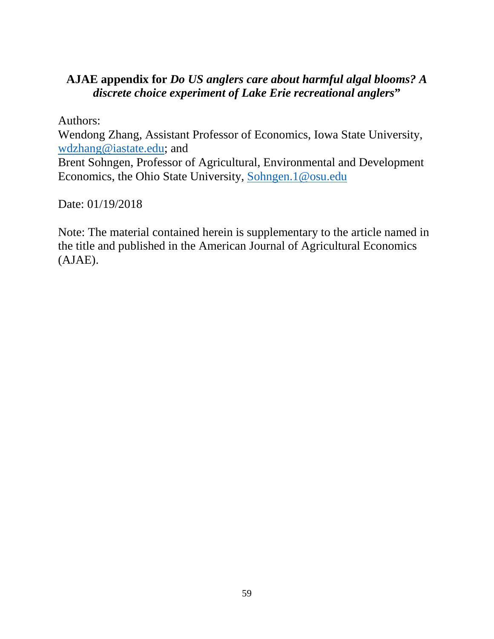# **AJAE appendix for** *Do US anglers care about harmful algal blooms? A discrete choice experiment of Lake Erie recreational anglers***"**

Authors:

Wendong Zhang, Assistant Professor of Economics, Iowa State University, [wdzhang@iastate.edu;](mailto:wdzhang@iastate.edu) and

Brent Sohngen, Professor of Agricultural, Environmental and Development Economics, the Ohio State University, [Sohngen.1@osu.edu](mailto:Sohngen.1@osu.edu) 

Date: 01/19/2018

Note: The material contained herein is supplementary to the article named in the title and published in the American Journal of Agricultural Economics (AJAE).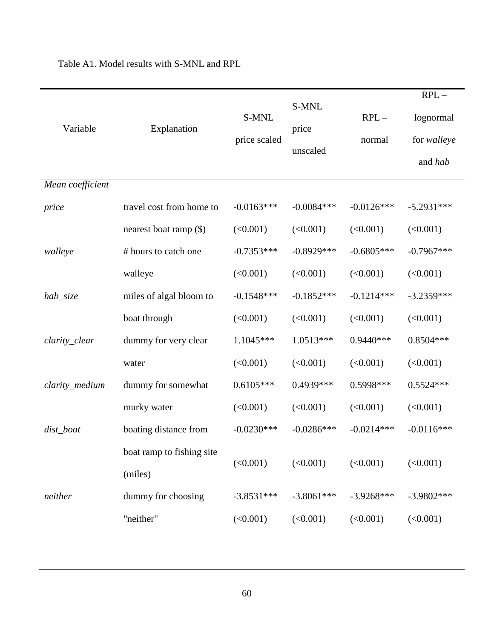|                  |                                      |                       |                            |                  | $RPL-$                              |
|------------------|--------------------------------------|-----------------------|----------------------------|------------------|-------------------------------------|
| Variable         | Explanation                          | S-MNL<br>price scaled | S-MNL<br>price<br>unscaled | $RPL-$<br>normal | lognormal<br>for walleye<br>and hab |
| Mean coefficient |                                      |                       |                            |                  |                                     |
| price            | travel cost from home to             | $-0.0163***$          | $-0.0084***$               | $-0.0126***$     | $-5.2931***$                        |
|                  | nearest boat ramp (\$)               | (<0.001)              | (<0.001)                   | (<0.001)         | (<0.001)                            |
| walleye          | # hours to catch one                 | $-0.7353***$          | $-0.8929***$               | $-0.6805***$     | $-0.7967***$                        |
|                  | walleye                              | (<0.001)              | (<0.001)                   | (<0.001)         | (<0.001)                            |
| hab_size         | miles of algal bloom to              | $-0.1548***$          | $-0.1852***$               | $-0.1214***$     | $-3.2359***$                        |
|                  | boat through                         | (<0.001)              | (<0.001)                   | (<0.001)         | (<0.001)                            |
| clarity_clear    | dummy for very clear                 | 1.1045***             | $1.0513***$                | $0.9440***$      | $0.8504***$                         |
|                  | water                                | (<0.001)              | (<0.001)                   | (<0.001)         | (<0.001)                            |
| clarity_medium   | dummy for somewhat                   | $0.6105***$           | 0.4939***                  | 0.5998***        | $0.5524***$                         |
|                  | murky water                          | (<0.001)              | (<0.001)                   | (<0.001)         | (<0.001)                            |
| dist_boat        | boating distance from                | $-0.0230***$          | $-0.0286***$               | $-0.0214***$     | $-0.0116***$                        |
|                  | boat ramp to fishing site<br>(miles) | (<0.001)              | (<0.001)                   | (<0.001)         | (<0.001)                            |
| neither          | dummy for choosing                   | $-3.8531***$          | $-3.8061***$               | $-3.9268***$     | $-3.9802***$                        |
|                  | "neither"                            | (<0.001)              | (<0.001)                   | (<0.001)         | (<0.001)                            |

Table A1. Model results with S-MNL and RPL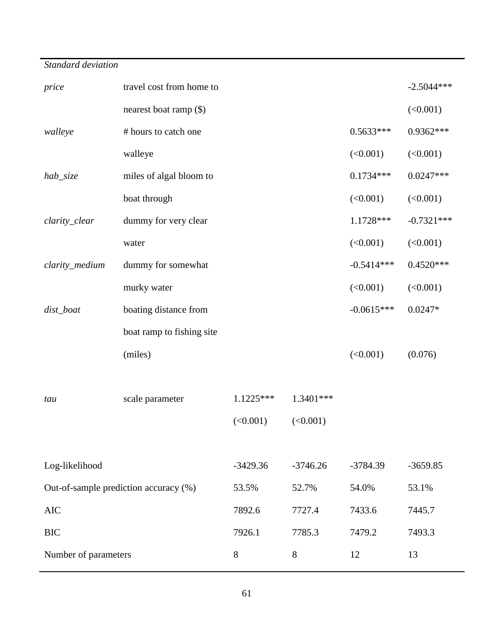| travel cost from home to              |              |             |              |              |  |  |
|---------------------------------------|--------------|-------------|--------------|--------------|--|--|
| nearest boat ramp (\$)                |              |             |              | (<0.001)     |  |  |
| # hours to catch one                  |              |             | $0.5633***$  | 0.9362***    |  |  |
| walleye                               |              |             | (<0.001)     | (<0.001)     |  |  |
| miles of algal bloom to               |              |             | $0.1734***$  | $0.0247***$  |  |  |
| boat through                          |              |             | (<0.001)     | (<0.001)     |  |  |
| dummy for very clear                  |              |             | 1.1728 ***   | $-0.7321***$ |  |  |
| water                                 |              |             | (<0.001)     | (<0.001)     |  |  |
| dummy for somewhat                    | $-0.5414***$ | $0.4520***$ |              |              |  |  |
| murky water                           |              |             | (<0.001)     | (<0.001)     |  |  |
| boating distance from                 |              |             | $-0.0615***$ | $0.0247*$    |  |  |
| boat ramp to fishing site             |              |             |              |              |  |  |
| (miles)                               |              |             | (<0.001)     | (0.076)      |  |  |
|                                       |              |             |              |              |  |  |
| scale parameter                       | $1.1225***$  | 1.3401***   |              |              |  |  |
|                                       | (<0.001)     | (<0.001)    |              |              |  |  |
|                                       |              |             |              |              |  |  |
|                                       | $-3429.36$   | $-3746.26$  | $-3784.39$   | $-3659.85$   |  |  |
| Out-of-sample prediction accuracy (%) | 53.5%        | 52.7%       | 54.0%        | 53.1%        |  |  |
| <b>AIC</b>                            |              | 7727.4      | 7433.6       | 7445.7       |  |  |
|                                       | 7926.1       | 7785.3      | 7479.2       | 7493.3       |  |  |
| Number of parameters                  | 8            | 8           | 12           | 13           |  |  |
|                                       |              | 7892.6      |              |              |  |  |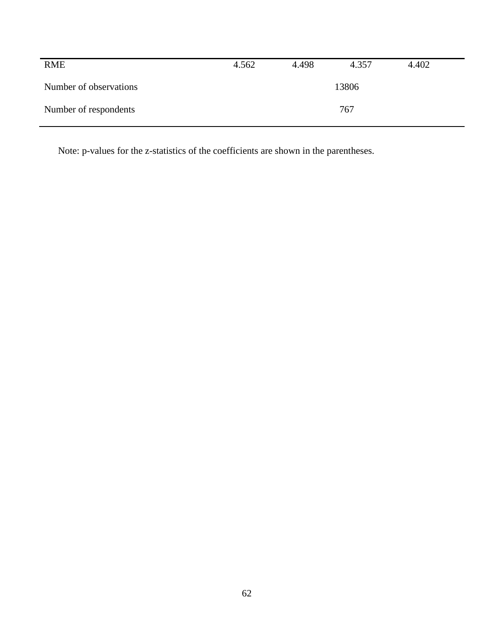| <b>RME</b>             | 4.562 | 4.498 | 4.357 | 4.402 |  |
|------------------------|-------|-------|-------|-------|--|
| Number of observations |       |       | 13806 |       |  |
| Number of respondents  |       | 767   |       |       |  |

Note: p-values for the z-statistics of the coefficients are shown in the parentheses.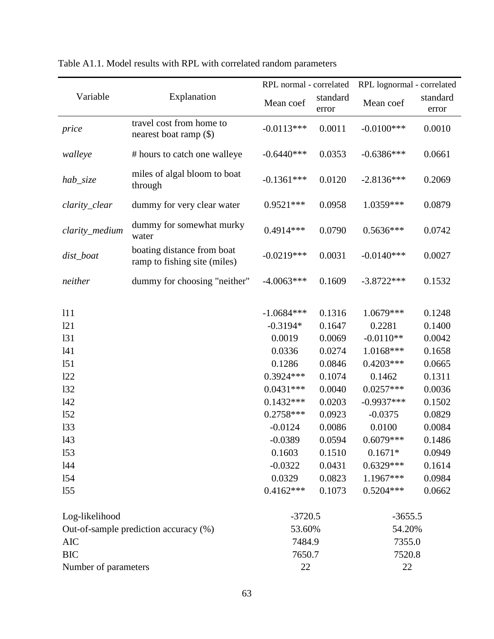|                                                                                                |                                                            | RPL normal - correlated                                                                                                                                                         |                                                                                                                                          | RPL lognormal - correlated                                                                                                                                                               |                                                                                                                                          |  |
|------------------------------------------------------------------------------------------------|------------------------------------------------------------|---------------------------------------------------------------------------------------------------------------------------------------------------------------------------------|------------------------------------------------------------------------------------------------------------------------------------------|------------------------------------------------------------------------------------------------------------------------------------------------------------------------------------------|------------------------------------------------------------------------------------------------------------------------------------------|--|
| Variable                                                                                       | Explanation                                                | Mean coef                                                                                                                                                                       | standard<br>error                                                                                                                        | Mean coef                                                                                                                                                                                | standard<br>error                                                                                                                        |  |
| price                                                                                          | travel cost from home to<br>nearest boat ramp $(\$)$       | $-0.0113***$                                                                                                                                                                    | 0.0011                                                                                                                                   | $-0.0100$ ***                                                                                                                                                                            | 0.0010                                                                                                                                   |  |
| walleye                                                                                        | # hours to catch one walleye                               | $-0.6440***$                                                                                                                                                                    | 0.0353                                                                                                                                   | $-0.6386***$                                                                                                                                                                             | 0.0661                                                                                                                                   |  |
| hab_size                                                                                       | miles of algal bloom to boat<br>through                    | $-0.1361***$                                                                                                                                                                    | 0.0120                                                                                                                                   | $-2.8136***$                                                                                                                                                                             | 0.2069                                                                                                                                   |  |
| clarity_clear                                                                                  | dummy for very clear water                                 | $0.9521***$                                                                                                                                                                     | 0.0958                                                                                                                                   | 1.0359***                                                                                                                                                                                | 0.0879                                                                                                                                   |  |
| clarity_medium                                                                                 | dummy for somewhat murky<br>water                          | $0.4914***$                                                                                                                                                                     | 0.0790                                                                                                                                   | $0.5636***$                                                                                                                                                                              | 0.0742                                                                                                                                   |  |
| dist_boat                                                                                      | boating distance from boat<br>ramp to fishing site (miles) | $-0.0219***$                                                                                                                                                                    | 0.0031                                                                                                                                   | $-0.0140***$                                                                                                                                                                             | 0.0027                                                                                                                                   |  |
| neither                                                                                        | dummy for choosing "neither"                               | $-4.0063***$                                                                                                                                                                    | 0.1609                                                                                                                                   | $-3.8722***$                                                                                                                                                                             | 0.1532                                                                                                                                   |  |
| 111<br>121<br>131<br>141<br>151<br>122<br>132<br>142<br>152<br>133<br>143<br>153<br>144<br>154 |                                                            | $-1.0684***$<br>$-0.3194*$<br>0.0019<br>0.0336<br>0.1286<br>$0.3924***$<br>$0.0431***$<br>$0.1432***$<br>$0.2758***$<br>$-0.0124$<br>$-0.0389$<br>0.1603<br>$-0.0322$<br>0.0329 | 0.1316<br>0.1647<br>0.0069<br>0.0274<br>0.0846<br>0.1074<br>0.0040<br>0.0203<br>0.0923<br>0.0086<br>0.0594<br>0.1510<br>0.0431<br>0.0823 | 1.0679***<br>0.2281<br>$-0.0110**$<br>1.0168***<br>$0.4203***$<br>0.1462<br>$0.0257***$<br>$-0.9937***$<br>$-0.0375$<br>0.0100<br>$0.6079***$<br>$0.1671*$<br>$0.6329***$<br>$1.1967***$ | 0.1248<br>0.1400<br>0.0042<br>0.1658<br>0.0665<br>0.1311<br>0.0036<br>0.1502<br>0.0829<br>0.0084<br>0.1486<br>0.0949<br>0.1614<br>0.0984 |  |
| 155                                                                                            |                                                            | $0.4162***$                                                                                                                                                                     | 0.1073                                                                                                                                   | $0.5204***$                                                                                                                                                                              | 0.0662                                                                                                                                   |  |
| Log-likelihood<br>Out-of-sample prediction accuracy (%)<br><b>AIC</b>                          |                                                            | $-3720.5$<br>53.60%<br>7484.9                                                                                                                                                   |                                                                                                                                          | $-3655.5$<br>54.20%<br>7355.0                                                                                                                                                            |                                                                                                                                          |  |
| <b>BIC</b><br>Number of parameters                                                             |                                                            | 7650.7<br>22                                                                                                                                                                    |                                                                                                                                          | 7520.8<br>22                                                                                                                                                                             |                                                                                                                                          |  |

# Table A1.1. Model results with RPL with correlated random parameters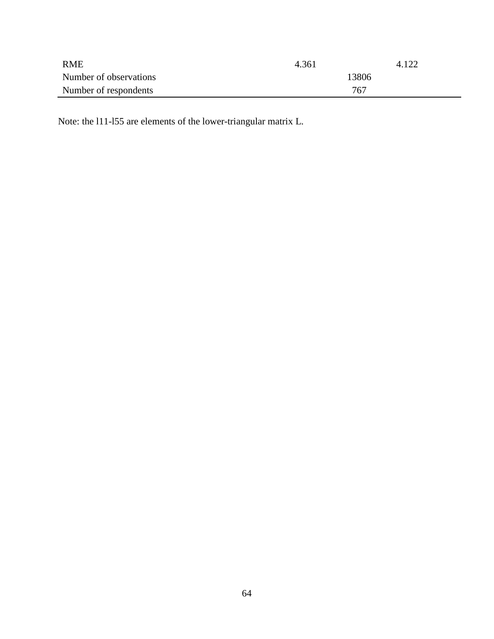| <b>RME</b>             | 4.361 | 4.122 |
|------------------------|-------|-------|
| Number of observations | 13806 |       |
| Number of respondents  | 767   |       |

Note: the l11-l55 are elements of the lower-triangular matrix L.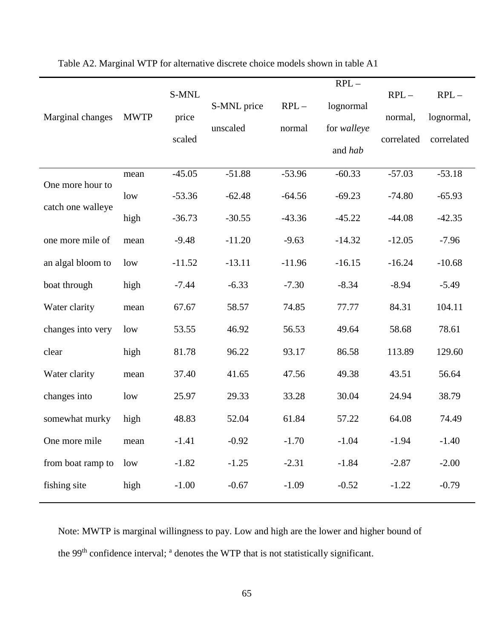|                   |             |          |             |          | $RPL-$      |            |            |
|-------------------|-------------|----------|-------------|----------|-------------|------------|------------|
|                   |             | S-MNL    |             |          |             | $RPL-$     | $RPL-$     |
| Marginal changes  | <b>MWTP</b> | price    | S-MNL price | $RPL-$   | lognormal   | normal,    | lognormal, |
|                   |             |          | unscaled    | normal   | for walleye |            |            |
|                   |             | scaled   |             |          | and hab     | correlated | correlated |
|                   |             |          |             |          |             |            |            |
| One more hour to  | mean        | $-45.05$ | $-51.88$    | $-53.96$ | $-60.33$    | $-57.03$   | $-53.18$   |
|                   | low         | $-53.36$ | $-62.48$    | $-64.56$ | $-69.23$    | $-74.80$   | $-65.93$   |
| catch one walleye | high        | $-36.73$ | $-30.55$    | $-43.36$ | $-45.22$    | $-44.08$   | $-42.35$   |
| one more mile of  | mean        | $-9.48$  | $-11.20$    | $-9.63$  | $-14.32$    | $-12.05$   | $-7.96$    |
| an algal bloom to | low         | $-11.52$ | $-13.11$    | $-11.96$ | $-16.15$    | $-16.24$   | $-10.68$   |
| boat through      | high        | $-7.44$  | $-6.33$     | $-7.30$  | $-8.34$     | $-8.94$    | $-5.49$    |
| Water clarity     | mean        | 67.67    | 58.57       | 74.85    | 77.77       | 84.31      | 104.11     |
| changes into very | low         | 53.55    | 46.92       | 56.53    | 49.64       | 58.68      | 78.61      |
| clear             | high        | 81.78    | 96.22       | 93.17    | 86.58       | 113.89     | 129.60     |
| Water clarity     | mean        | 37.40    | 41.65       | 47.56    | 49.38       | 43.51      | 56.64      |
| changes into      | low         | 25.97    | 29.33       | 33.28    | 30.04       | 24.94      | 38.79      |
| somewhat murky    | high        | 48.83    | 52.04       | 61.84    | 57.22       | 64.08      | 74.49      |
| One more mile     | mean        | $-1.41$  | $-0.92$     | $-1.70$  | $-1.04$     | $-1.94$    | $-1.40$    |
| from boat ramp to | low         | $-1.82$  | $-1.25$     | $-2.31$  | $-1.84$     | $-2.87$    | $-2.00$    |
| fishing site      | high        | $-1.00$  | $-0.67$     | $-1.09$  | $-0.52$     | $-1.22$    | $-0.79$    |
|                   |             |          |             |          |             |            |            |

Table A2. Marginal WTP for alternative discrete choice models shown in table A1

Note: MWTP is marginal willingness to pay. Low and high are the lower and higher bound of the 99<sup>th</sup> confidence interval; <sup>a</sup> denotes the WTP that is not statistically significant.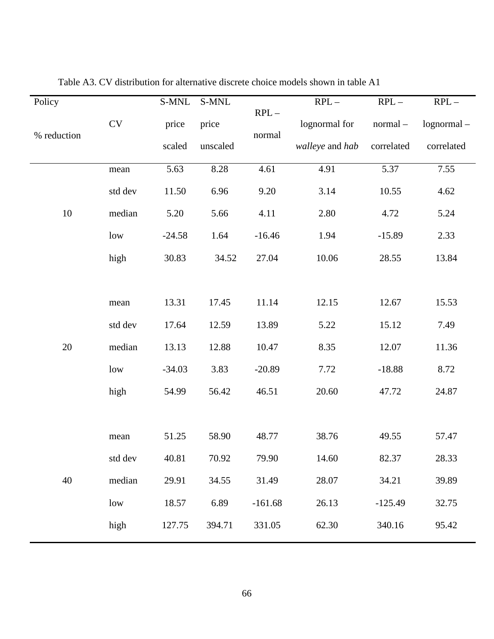| Policy      |           | S-MNL    | S-MNL    |                  | $RPL-$          | $RPL-$     | $RPL-$        |
|-------------|-----------|----------|----------|------------------|-----------------|------------|---------------|
| % reduction | <b>CV</b> | price    | price    | $RPL-$<br>normal | lognormal for   | normal-    | $lognormal -$ |
|             |           | scaled   | unscaled |                  | walleye and hab | correlated | correlated    |
|             | mean      | 5.63     | 8.28     | 4.61             | 4.91            | 5.37       | 7.55          |
|             | std dev   | 11.50    | 6.96     | 9.20             | 3.14            | 10.55      | 4.62          |
| 10          | median    | 5.20     | 5.66     | 4.11             | 2.80            | 4.72       | 5.24          |
|             | low       | $-24.58$ | 1.64     | $-16.46$         | 1.94            | $-15.89$   | 2.33          |
|             | high      | 30.83    | 34.52    | 27.04            | 10.06           | 28.55      | 13.84         |
|             |           |          |          |                  |                 |            |               |
|             | mean      | 13.31    | 17.45    | 11.14            | 12.15           | 12.67      | 15.53         |
|             | std dev   | 17.64    | 12.59    | 13.89            | 5.22            | 15.12      | 7.49          |
| 20          | median    | 13.13    | 12.88    | 10.47            | 8.35            | 12.07      | 11.36         |
|             | low       | $-34.03$ | 3.83     | $-20.89$         | 7.72            | $-18.88$   | 8.72          |
|             | high      | 54.99    | 56.42    | 46.51            | 20.60           | 47.72      | 24.87         |
|             |           |          |          |                  |                 |            |               |
|             | mean      | 51.25    | 58.90    | 48.77            | 38.76           | 49.55      | 57.47         |
|             | std dev   | 40.81    | 70.92    | 79.90            | 14.60           | 82.37      | 28.33         |
| 40          | median    | 29.91    | 34.55    | 31.49            | 28.07           | 34.21      | 39.89         |
|             | low       | 18.57    | 6.89     | $-161.68$        | 26.13           | $-125.49$  | 32.75         |
|             | high      | 127.75   | 394.71   | 331.05           | 62.30           | 340.16     | 95.42         |

Table A3. CV distribution for alternative discrete choice models shown in table A1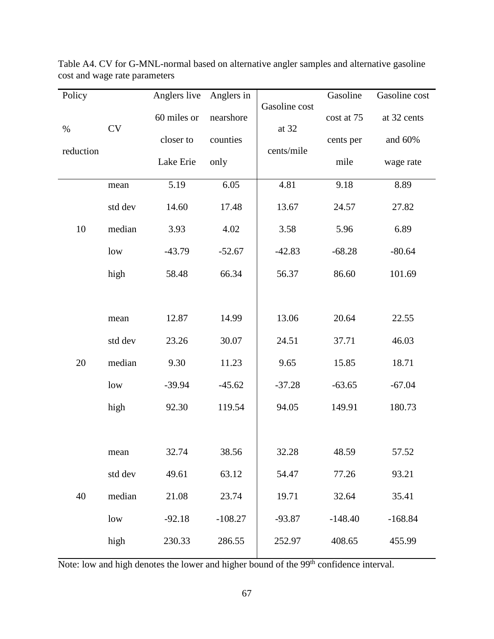| Policy    |         | Anglers live | Anglers in |                        | Gasoline   | Gasoline cost |
|-----------|---------|--------------|------------|------------------------|------------|---------------|
| $\%$      | CV      | 60 miles or  | nearshore  | Gasoline cost<br>at 32 | cost at 75 | at 32 cents   |
|           |         | closer to    | counties   |                        | cents per  | and 60%       |
| reduction |         | Lake Erie    | only       | cents/mile             | mile       | wage rate     |
|           | mean    | 5.19         | 6.05       | 4.81                   | 9.18       | 8.89          |
|           | std dev | 14.60        | 17.48      | 13.67                  | 24.57      | 27.82         |
| 10        | median  | 3.93         | 4.02       | 3.58                   | 5.96       | 6.89          |
|           | low     | $-43.79$     | $-52.67$   | $-42.83$               | $-68.28$   | $-80.64$      |
|           | high    | 58.48        | 66.34      | 56.37                  | 86.60      | 101.69        |
|           |         |              |            |                        |            |               |
|           | mean    | 12.87        | 14.99      | 13.06                  | 20.64      | 22.55         |
|           | std dev | 23.26        | 30.07      | 24.51                  | 37.71      | 46.03         |
| 20        | median  | 9.30         | 11.23      | 9.65                   | 15.85      | 18.71         |
|           | low     | $-39.94$     | $-45.62$   | $-37.28$               | $-63.65$   | $-67.04$      |
|           | high    | 92.30        | 119.54     | 94.05                  | 149.91     | 180.73        |
|           |         |              |            |                        |            |               |
|           | mean    | 32.74        | 38.56      | 32.28                  | 48.59      | 57.52         |
|           | std dev | 49.61        | 63.12      | 54.47                  | 77.26      | 93.21         |
| 40        | median  | 21.08        | 23.74      | 19.71                  | 32.64      | 35.41         |
|           | low     | $-92.18$     | $-108.27$  | $-93.87$               | $-148.40$  | $-168.84$     |
|           | high    | 230.33       | 286.55     | 252.97                 | 408.65     | 455.99        |

Table A4. CV for G-MNL-normal based on alternative angler samples and alternative gasoline cost and wage rate parameters

Note: low and high denotes the lower and higher bound of the 99<sup>th</sup> confidence interval.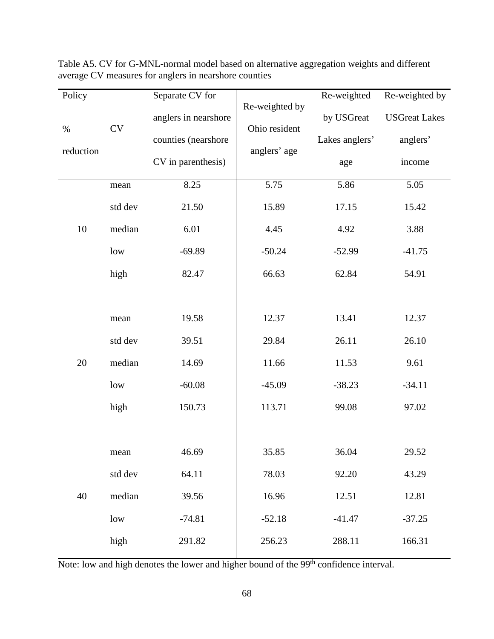| Policy    |         | Separate CV for      |                                 | Re-weighted    | Re-weighted by       |
|-----------|---------|----------------------|---------------------------------|----------------|----------------------|
| $\%$      | CV      | anglers in nearshore | Re-weighted by<br>Ohio resident | by USGreat     | <b>USGreat Lakes</b> |
|           |         | counties (nearshore  |                                 | Lakes anglers' | anglers'             |
| reduction |         | CV in parenthesis)   | anglers' age                    | age            | income               |
|           | mean    | 8.25                 | 5.75                            | 5.86           | 5.05                 |
|           | std dev | 21.50                | 15.89                           | 17.15          | 15.42                |
| $10\,$    | median  | 6.01                 | 4.45                            | 4.92           | 3.88                 |
|           | low     | $-69.89$             | $-50.24$                        | $-52.99$       | $-41.75$             |
|           | high    | 82.47                | 66.63                           | 62.84          | 54.91                |
|           |         |                      |                                 |                |                      |
|           | mean    | 19.58                | 12.37                           | 13.41          | 12.37                |
|           | std dev | 39.51                | 29.84                           | 26.11          | 26.10                |
| $20\,$    | median  | 14.69                | 11.66                           | 11.53          | 9.61                 |
|           | low     | $-60.08$             | $-45.09$                        | $-38.23$       | $-34.11$             |
|           | high    | 150.73               | 113.71                          | 99.08          | 97.02                |
|           |         |                      |                                 |                |                      |
|           | mean    | 46.69                | 35.85                           | 36.04          | 29.52                |
|           | std dev | 64.11                | 78.03                           | 92.20          | 43.29                |
| 40        | median  | 39.56                | 16.96                           | 12.51          | 12.81                |
|           | low     | $-74.81$             | $-52.18$                        | $-41.47$       | $-37.25$             |
|           | high    | 291.82               | 256.23                          | 288.11         | 166.31               |

Table A5. CV for G-MNL-normal model based on alternative aggregation weights and different average CV measures for anglers in nearshore counties

Note: low and high denotes the lower and higher bound of the 99<sup>th</sup> confidence interval.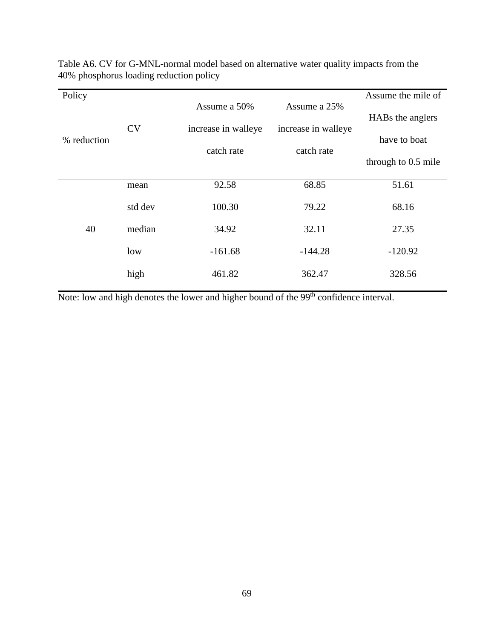| Policy      |           |                     |                     | Assume the mile of  |
|-------------|-----------|---------------------|---------------------|---------------------|
| % reduction |           | Assume a 50%        | Assume a 25%        | HABs the anglers    |
|             | <b>CV</b> | increase in walleye | increase in walleye |                     |
|             |           | catch rate          | catch rate          | have to boat        |
|             |           |                     |                     | through to 0.5 mile |
|             | mean      | 92.58               | 68.85               | 51.61               |
| 40          | std dev   | 100.30              | 79.22               | 68.16               |
|             | median    | 34.92               | 32.11               | 27.35               |
|             | low       | $-161.68$           | $-144.28$           | $-120.92$           |
|             | high      | 461.82              | 362.47              | 328.56              |

Table A6. CV for G-MNL-normal model based on alternative water quality impacts from the 40% phosphorus loading reduction policy

Note: low and high denotes the lower and higher bound of the 99<sup>th</sup> confidence interval.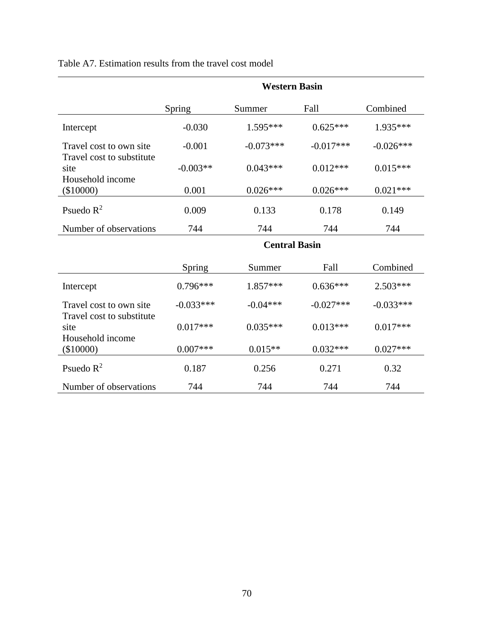| Table A7. Estimation results from the travel cost model |  |  |  |  |  |
|---------------------------------------------------------|--|--|--|--|--|
|---------------------------------------------------------|--|--|--|--|--|

|                                                       | <b>Western Basin</b> |             |             |             |  |  |
|-------------------------------------------------------|----------------------|-------------|-------------|-------------|--|--|
|                                                       | Spring               | Summer      | Fall        | Combined    |  |  |
| Intercept                                             | $-0.030$             | $1.595***$  | $0.625***$  | 1.935***    |  |  |
| Travel cost to own site                               | $-0.001$             | $-0.073***$ | $-0.017***$ | $-0.026***$ |  |  |
| Travel cost to substitute<br>site<br>Household income | $-0.003**$           | $0.043***$  | $0.012***$  | $0.015***$  |  |  |
| $(\$10000)$                                           | 0.001                | $0.026***$  | $0.026***$  | $0.021***$  |  |  |
| Psuedo $R^2$                                          | 0.009                | 0.133       | 0.178       | 0.149       |  |  |
| Number of observations                                | 744                  | 744         | 744         | 744         |  |  |
|                                                       | <b>Central Basin</b> |             |             |             |  |  |
|                                                       | Spring               | Summer      | Fall        | Combined    |  |  |
| Intercept                                             | $0.796***$           | 1.857***    | $0.636***$  | $2.503***$  |  |  |
| Travel cost to own site                               | $-0.033***$          | $-0.04***$  | $-0.027***$ | $-0.033***$ |  |  |
| Travel cost to substitute<br>site<br>Household income | $0.017***$           | $0.035***$  | $0.013***$  | $0.017***$  |  |  |
| (\$10000)                                             | $0.007***$           | $0.015**$   | $0.032***$  | $0.027***$  |  |  |
| Psuedo $R^2$                                          | 0.187                | 0.256       | 0.271       | 0.32        |  |  |
| Number of observations                                | 744                  | 744         | 744         | 744         |  |  |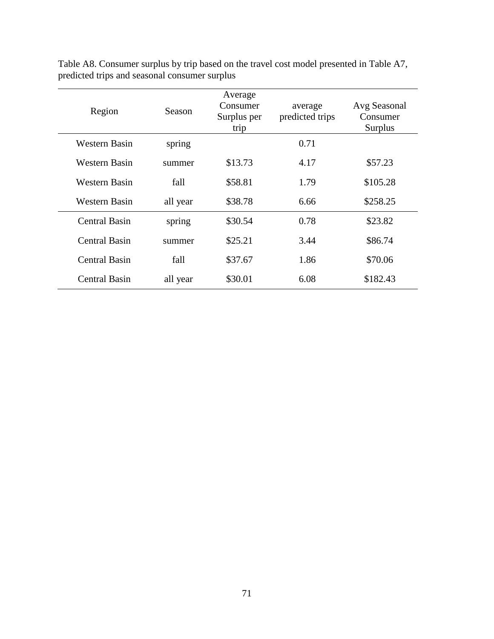| Region               | <b>Season</b> | Average<br>Consumer<br>Surplus per<br>trip | average<br>predicted trips | Avg Seasonal<br>Consumer<br>Surplus |
|----------------------|---------------|--------------------------------------------|----------------------------|-------------------------------------|
| Western Basin        | spring        |                                            | 0.71                       |                                     |
| Western Basin        | summer        | \$13.73                                    | 4.17                       | \$57.23                             |
| Western Basin        | fall          | \$58.81                                    | 1.79                       | \$105.28                            |
| Western Basin        | all year      | \$38.78                                    | 6.66                       | \$258.25                            |
| <b>Central Basin</b> | spring        | \$30.54                                    | 0.78                       | \$23.82                             |
| Central Basin        | summer        | \$25.21                                    | 3.44                       | \$86.74                             |
| <b>Central Basin</b> | fall          | \$37.67                                    | 1.86                       | \$70.06                             |
| Central Basin        | all year      | \$30.01                                    | 6.08                       | \$182.43                            |

Table A8. Consumer surplus by trip based on the travel cost model presented in Table A7, predicted trips and seasonal consumer surplus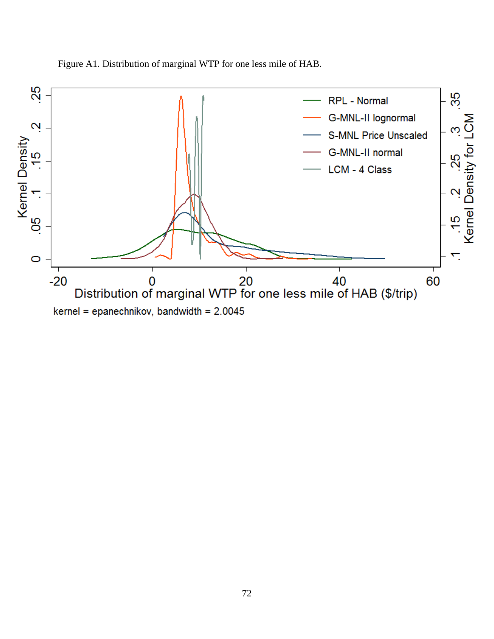

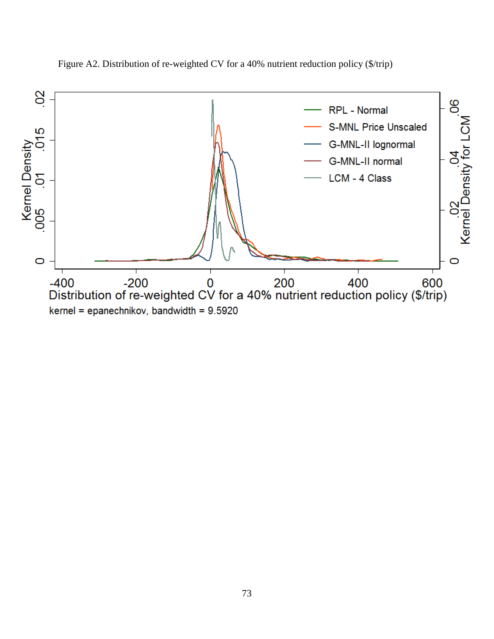

Figure A2. Distribution of re-weighted CV for a 40% nutrient reduction policy (\$/trip)